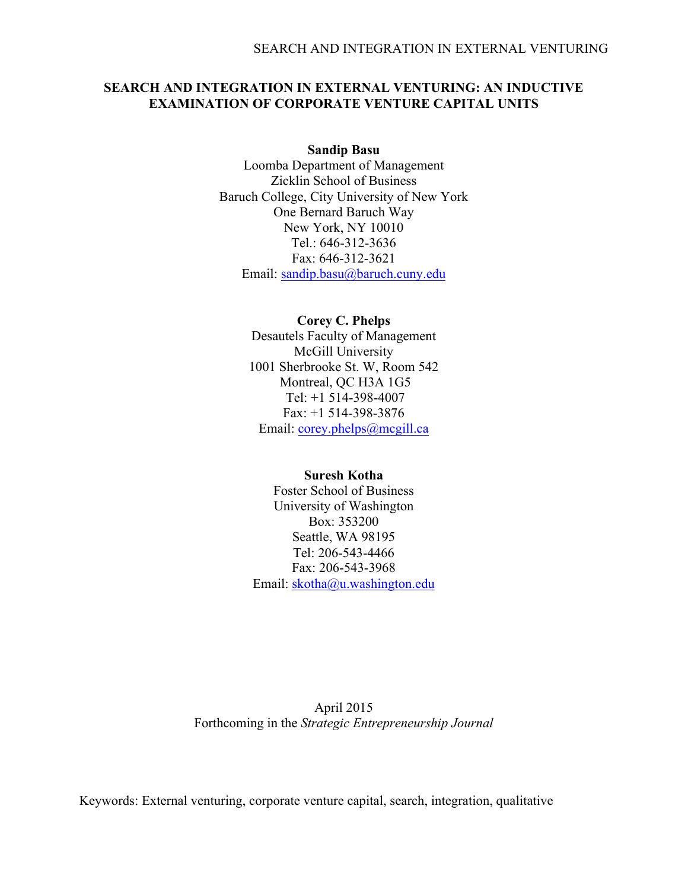## **SEARCH AND INTEGRATION IN EXTERNAL VENTURING: AN INDUCTIVE EXAMINATION OF CORPORATE VENTURE CAPITAL UNITS**

## **Sandip Basu**

Loomba Department of Management Zicklin School of Business Baruch College, City University of New York One Bernard Baruch Way New York, NY 10010 Tel.:  $646-312-3636$ Fax: 646-312-3621 Email: sandip.basu@baruch.cuny.edu

## **Corey C. Phelps**

Desautels Faculty of Management McGill University 1001 Sherbrooke St. W, Room 542 Montreal, QC H3A 1G5 Tel: +1 514-398-4007 Fax: +1 514-398-3876 Email: corey.phelps@mcgill.ca

## **Suresh Kotha**

Foster School of Business University of Washington Box: 353200 Seattle, WA 98195 Tel: 206-543-4466 Fax: 206-543-3968 Email: skotha@u.washington.edu

April 2015 Forthcoming in the *Strategic Entrepreneurship Journal*

Keywords: External venturing, corporate venture capital, search, integration, qualitative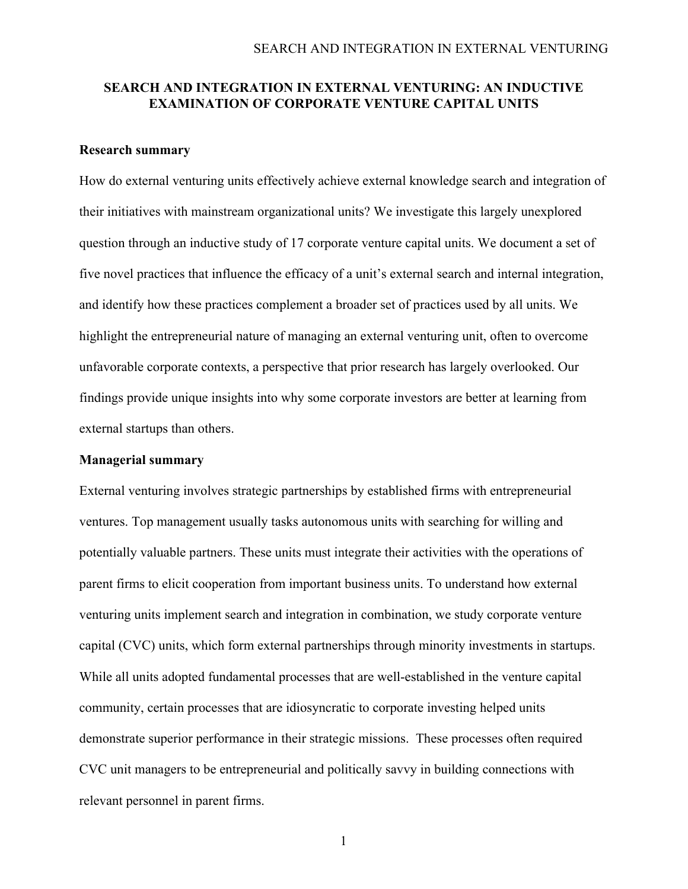## **SEARCH AND INTEGRATION IN EXTERNAL VENTURING: AN INDUCTIVE EXAMINATION OF CORPORATE VENTURE CAPITAL UNITS**

#### **Research summary**

How do external venturing units effectively achieve external knowledge search and integration of their initiatives with mainstream organizational units? We investigate this largely unexplored question through an inductive study of 17 corporate venture capital units. We document a set of five novel practices that influence the efficacy of a unit's external search and internal integration, and identify how these practices complement a broader set of practices used by all units. We highlight the entrepreneurial nature of managing an external venturing unit, often to overcome unfavorable corporate contexts, a perspective that prior research has largely overlooked. Our findings provide unique insights into why some corporate investors are better at learning from external startups than others.

## **Managerial summary**

External venturing involves strategic partnerships by established firms with entrepreneurial ventures. Top management usually tasks autonomous units with searching for willing and potentially valuable partners. These units must integrate their activities with the operations of parent firms to elicit cooperation from important business units. To understand how external venturing units implement search and integration in combination, we study corporate venture capital (CVC) units, which form external partnerships through minority investments in startups. While all units adopted fundamental processes that are well-established in the venture capital community, certain processes that are idiosyncratic to corporate investing helped units demonstrate superior performance in their strategic missions. These processes often required CVC unit managers to be entrepreneurial and politically savvy in building connections with relevant personnel in parent firms.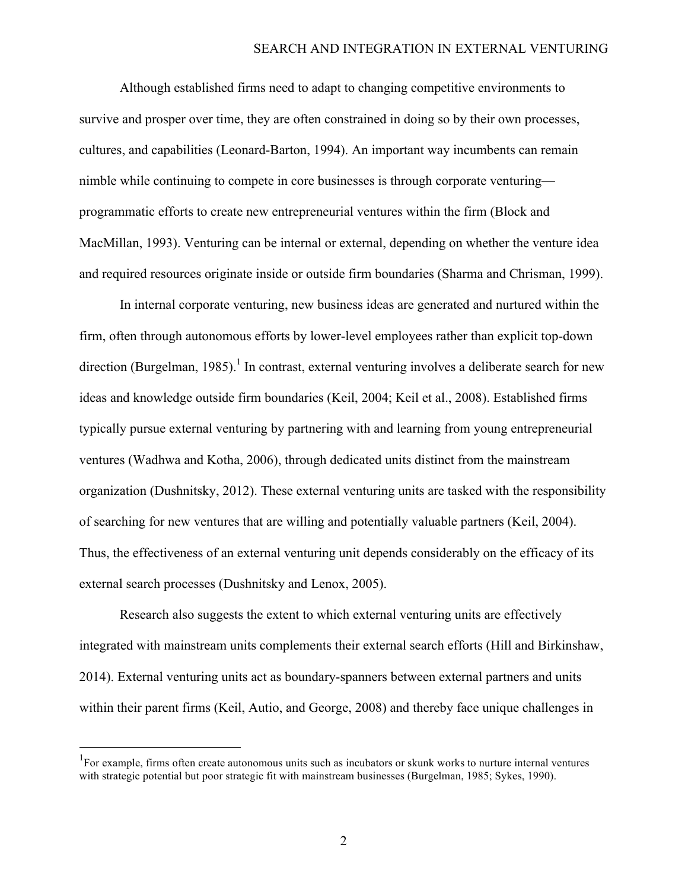Although established firms need to adapt to changing competitive environments to survive and prosper over time, they are often constrained in doing so by their own processes, cultures, and capabilities (Leonard-Barton, 1994). An important way incumbents can remain nimble while continuing to compete in core businesses is through corporate venturing programmatic efforts to create new entrepreneurial ventures within the firm (Block and MacMillan, 1993). Venturing can be internal or external, depending on whether the venture idea and required resources originate inside or outside firm boundaries (Sharma and Chrisman, 1999).

In internal corporate venturing, new business ideas are generated and nurtured within the firm, often through autonomous efforts by lower-level employees rather than explicit top-down direction (Burgelman, 1985).<sup>1</sup> In contrast, external venturing involves a deliberate search for new ideas and knowledge outside firm boundaries (Keil, 2004; Keil et al., 2008). Established firms typically pursue external venturing by partnering with and learning from young entrepreneurial ventures (Wadhwa and Kotha, 2006), through dedicated units distinct from the mainstream organization (Dushnitsky, 2012). These external venturing units are tasked with the responsibility of searching for new ventures that are willing and potentially valuable partners (Keil, 2004). Thus, the effectiveness of an external venturing unit depends considerably on the efficacy of its external search processes (Dushnitsky and Lenox, 2005).

Research also suggests the extent to which external venturing units are effectively integrated with mainstream units complements their external search efforts (Hill and Birkinshaw, 2014). External venturing units act as boundary-spanners between external partners and units within their parent firms (Keil, Autio, and George, 2008) and thereby face unique challenges in

 <sup>1</sup> For example, firms often create autonomous units such as incubators or skunk works to nurture internal ventures with strategic potential but poor strategic fit with mainstream businesses (Burgelman, 1985; Sykes, 1990).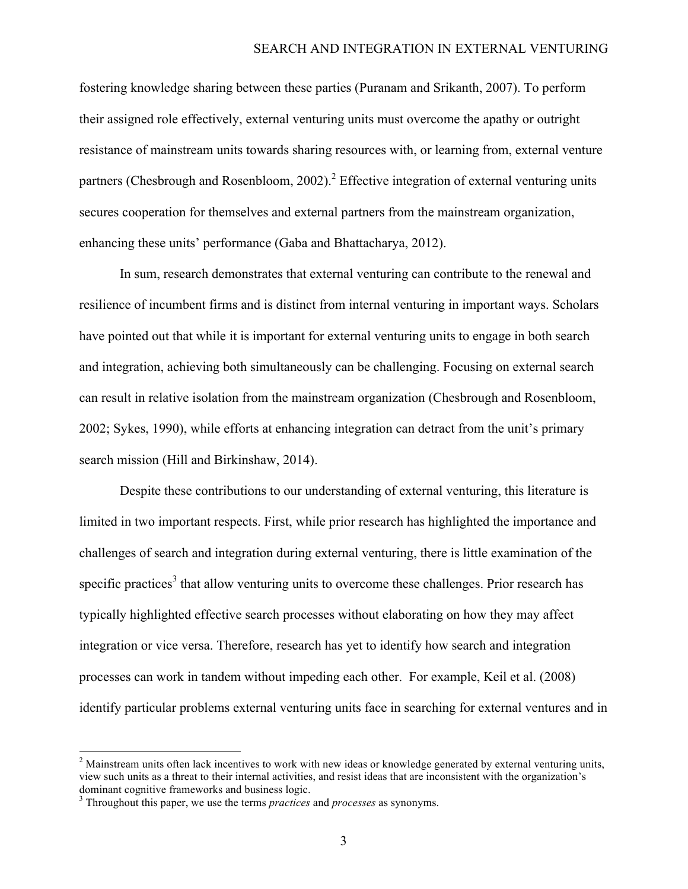fostering knowledge sharing between these parties (Puranam and Srikanth, 2007). To perform their assigned role effectively, external venturing units must overcome the apathy or outright resistance of mainstream units towards sharing resources with, or learning from, external venture partners (Chesbrough and Rosenbloom, 2002).<sup>2</sup> Effective integration of external venturing units secures cooperation for themselves and external partners from the mainstream organization, enhancing these units' performance (Gaba and Bhattacharya, 2012).

In sum, research demonstrates that external venturing can contribute to the renewal and resilience of incumbent firms and is distinct from internal venturing in important ways. Scholars have pointed out that while it is important for external venturing units to engage in both search and integration, achieving both simultaneously can be challenging. Focusing on external search can result in relative isolation from the mainstream organization (Chesbrough and Rosenbloom, 2002; Sykes, 1990), while efforts at enhancing integration can detract from the unit's primary search mission (Hill and Birkinshaw, 2014).

Despite these contributions to our understanding of external venturing, this literature is limited in two important respects. First, while prior research has highlighted the importance and challenges of search and integration during external venturing, there is little examination of the specific practices<sup>3</sup> that allow venturing units to overcome these challenges. Prior research has typically highlighted effective search processes without elaborating on how they may affect integration or vice versa. Therefore, research has yet to identify how search and integration processes can work in tandem without impeding each other. For example, Keil et al. (2008) identify particular problems external venturing units face in searching for external ventures and in

<sup>&</sup>lt;sup>2</sup> Mainstream units often lack incentives to work with new ideas or knowledge generated by external venturing units, view such units as a threat to their internal activities, and resist ideas that are inconsistent with the organization's dominant cognitive frameworks and business logic.

<sup>3</sup> Throughout this paper, we use the terms *practices* and *processes* as synonyms.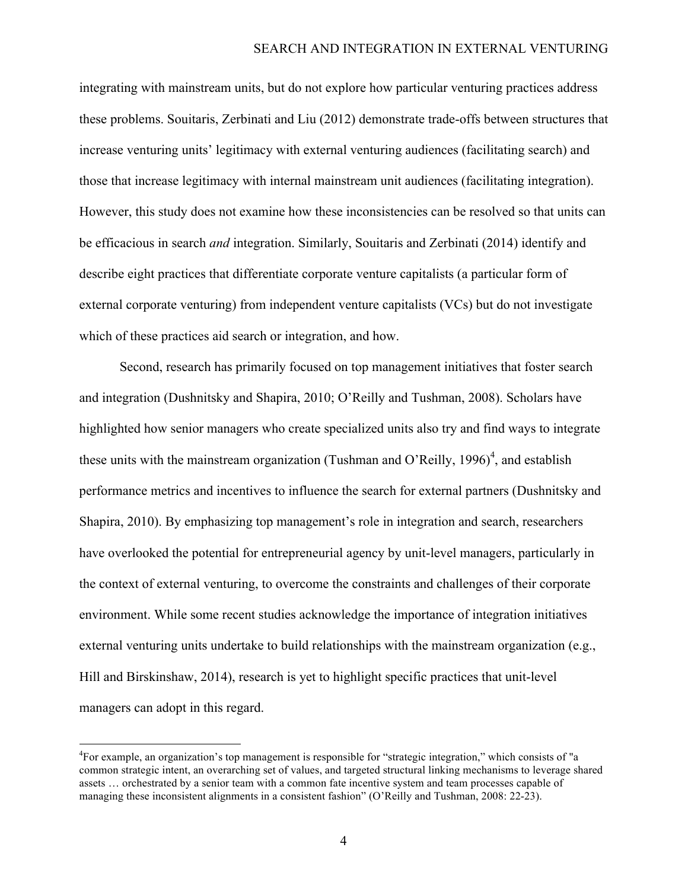integrating with mainstream units, but do not explore how particular venturing practices address these problems. Souitaris, Zerbinati and Liu (2012) demonstrate trade-offs between structures that increase venturing units' legitimacy with external venturing audiences (facilitating search) and those that increase legitimacy with internal mainstream unit audiences (facilitating integration). However, this study does not examine how these inconsistencies can be resolved so that units can be efficacious in search *and* integration. Similarly, Souitaris and Zerbinati (2014) identify and describe eight practices that differentiate corporate venture capitalists (a particular form of external corporate venturing) from independent venture capitalists (VCs) but do not investigate which of these practices aid search or integration, and how.

Second, research has primarily focused on top management initiatives that foster search and integration (Dushnitsky and Shapira, 2010; O'Reilly and Tushman, 2008). Scholars have highlighted how senior managers who create specialized units also try and find ways to integrate these units with the mainstream organization (Tushman and O'Reilly, 1996)<sup>4</sup>, and establish performance metrics and incentives to influence the search for external partners (Dushnitsky and Shapira, 2010). By emphasizing top management's role in integration and search, researchers have overlooked the potential for entrepreneurial agency by unit-level managers, particularly in the context of external venturing, to overcome the constraints and challenges of their corporate environment. While some recent studies acknowledge the importance of integration initiatives external venturing units undertake to build relationships with the mainstream organization (e.g., Hill and Birskinshaw, 2014), research is yet to highlight specific practices that unit-level managers can adopt in this regard.

 $\frac{1}{4}$ For example, an organization's top management is responsible for "strategic integration," which consists of "a common strategic intent, an overarching set of values, and targeted structural linking mechanisms to leverage shared assets … orchestrated by a senior team with a common fate incentive system and team processes capable of managing these inconsistent alignments in a consistent fashion" (O'Reilly and Tushman, 2008: 22-23).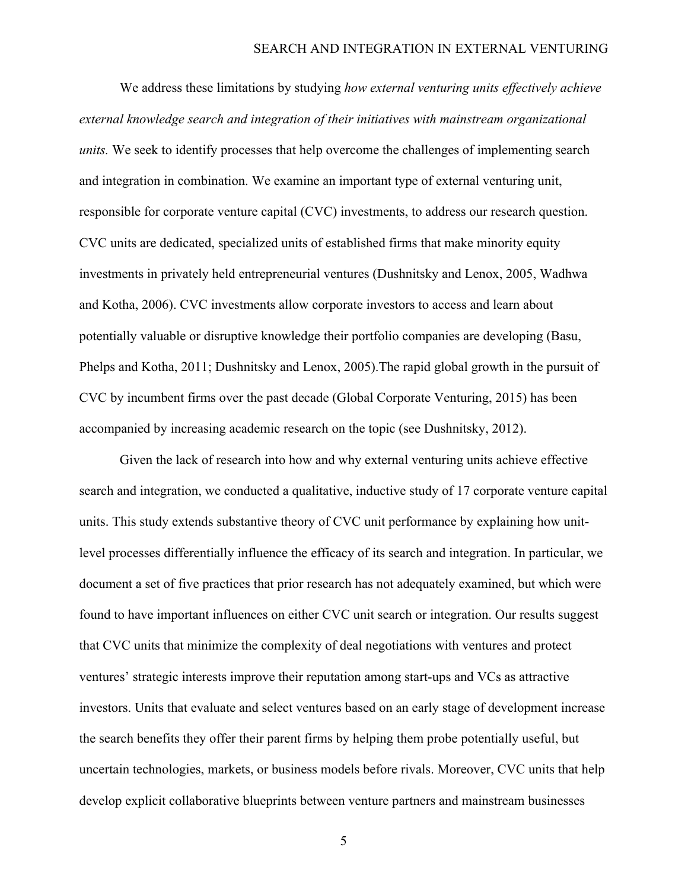We address these limitations by studying *how external venturing units effectively achieve external knowledge search and integration of their initiatives with mainstream organizational units.* We seek to identify processes that help overcome the challenges of implementing search and integration in combination. We examine an important type of external venturing unit, responsible for corporate venture capital (CVC) investments, to address our research question. CVC units are dedicated, specialized units of established firms that make minority equity investments in privately held entrepreneurial ventures (Dushnitsky and Lenox, 2005, Wadhwa and Kotha, 2006). CVC investments allow corporate investors to access and learn about potentially valuable or disruptive knowledge their portfolio companies are developing (Basu, Phelps and Kotha, 2011; Dushnitsky and Lenox, 2005).The rapid global growth in the pursuit of CVC by incumbent firms over the past decade (Global Corporate Venturing, 2015) has been accompanied by increasing academic research on the topic (see Dushnitsky, 2012).

Given the lack of research into how and why external venturing units achieve effective search and integration, we conducted a qualitative, inductive study of 17 corporate venture capital units. This study extends substantive theory of CVC unit performance by explaining how unitlevel processes differentially influence the efficacy of its search and integration. In particular, we document a set of five practices that prior research has not adequately examined, but which were found to have important influences on either CVC unit search or integration. Our results suggest that CVC units that minimize the complexity of deal negotiations with ventures and protect ventures' strategic interests improve their reputation among start-ups and VCs as attractive investors. Units that evaluate and select ventures based on an early stage of development increase the search benefits they offer their parent firms by helping them probe potentially useful, but uncertain technologies, markets, or business models before rivals. Moreover, CVC units that help develop explicit collaborative blueprints between venture partners and mainstream businesses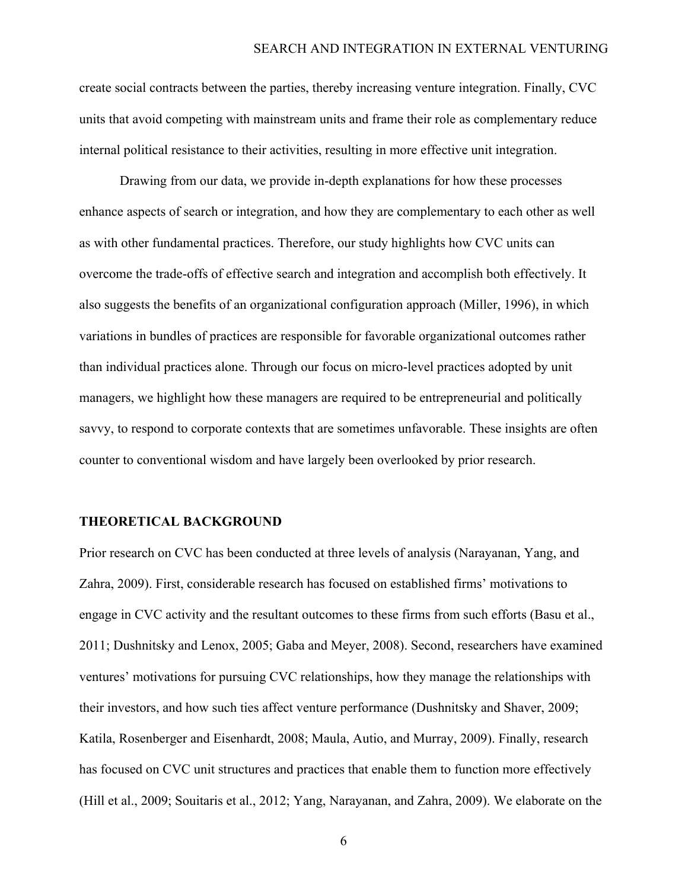create social contracts between the parties, thereby increasing venture integration. Finally, CVC units that avoid competing with mainstream units and frame their role as complementary reduce internal political resistance to their activities, resulting in more effective unit integration.

Drawing from our data, we provide in-depth explanations for how these processes enhance aspects of search or integration, and how they are complementary to each other as well as with other fundamental practices. Therefore, our study highlights how CVC units can overcome the trade-offs of effective search and integration and accomplish both effectively. It also suggests the benefits of an organizational configuration approach (Miller, 1996), in which variations in bundles of practices are responsible for favorable organizational outcomes rather than individual practices alone. Through our focus on micro-level practices adopted by unit managers, we highlight how these managers are required to be entrepreneurial and politically savvy, to respond to corporate contexts that are sometimes unfavorable. These insights are often counter to conventional wisdom and have largely been overlooked by prior research.

#### **THEORETICAL BACKGROUND**

Prior research on CVC has been conducted at three levels of analysis (Narayanan, Yang, and Zahra, 2009). First, considerable research has focused on established firms' motivations to engage in CVC activity and the resultant outcomes to these firms from such efforts (Basu et al., 2011; Dushnitsky and Lenox, 2005; Gaba and Meyer, 2008). Second, researchers have examined ventures' motivations for pursuing CVC relationships, how they manage the relationships with their investors, and how such ties affect venture performance (Dushnitsky and Shaver, 2009; Katila, Rosenberger and Eisenhardt, 2008; Maula, Autio, and Murray, 2009). Finally, research has focused on CVC unit structures and practices that enable them to function more effectively (Hill et al., 2009; Souitaris et al., 2012; Yang, Narayanan, and Zahra, 2009). We elaborate on the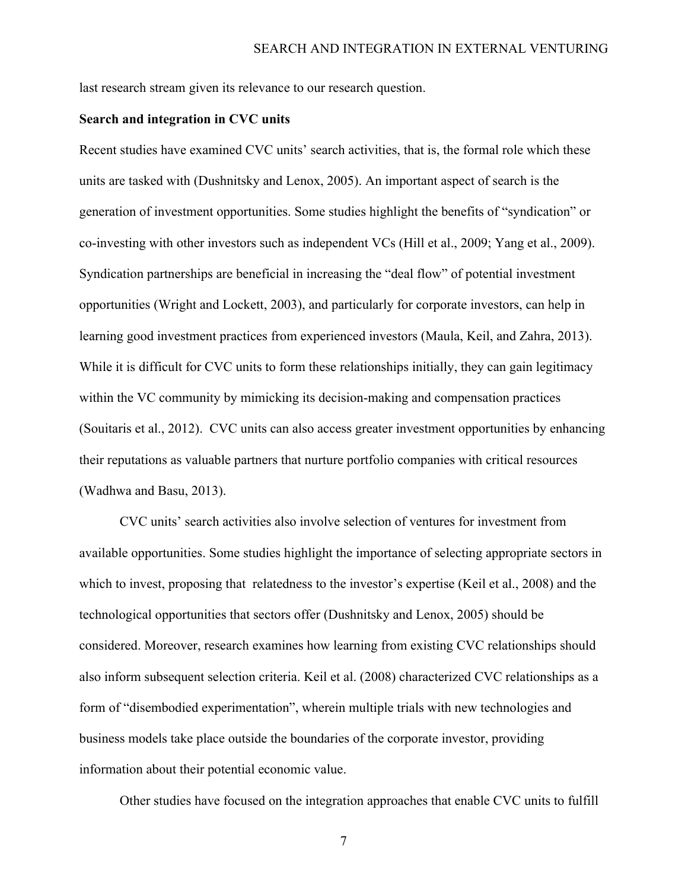last research stream given its relevance to our research question.

#### **Search and integration in CVC units**

Recent studies have examined CVC units' search activities, that is, the formal role which these units are tasked with (Dushnitsky and Lenox, 2005). An important aspect of search is the generation of investment opportunities. Some studies highlight the benefits of "syndication" or co-investing with other investors such as independent VCs (Hill et al., 2009; Yang et al., 2009). Syndication partnerships are beneficial in increasing the "deal flow" of potential investment opportunities (Wright and Lockett, 2003), and particularly for corporate investors, can help in learning good investment practices from experienced investors (Maula, Keil, and Zahra, 2013). While it is difficult for CVC units to form these relationships initially, they can gain legitimacy within the VC community by mimicking its decision-making and compensation practices (Souitaris et al., 2012). CVC units can also access greater investment opportunities by enhancing their reputations as valuable partners that nurture portfolio companies with critical resources (Wadhwa and Basu, 2013).

CVC units' search activities also involve selection of ventures for investment from available opportunities. Some studies highlight the importance of selecting appropriate sectors in which to invest, proposing that relatedness to the investor's expertise (Keil et al., 2008) and the technological opportunities that sectors offer (Dushnitsky and Lenox, 2005) should be considered. Moreover, research examines how learning from existing CVC relationships should also inform subsequent selection criteria. Keil et al. (2008) characterized CVC relationships as a form of "disembodied experimentation", wherein multiple trials with new technologies and business models take place outside the boundaries of the corporate investor, providing information about their potential economic value.

Other studies have focused on the integration approaches that enable CVC units to fulfill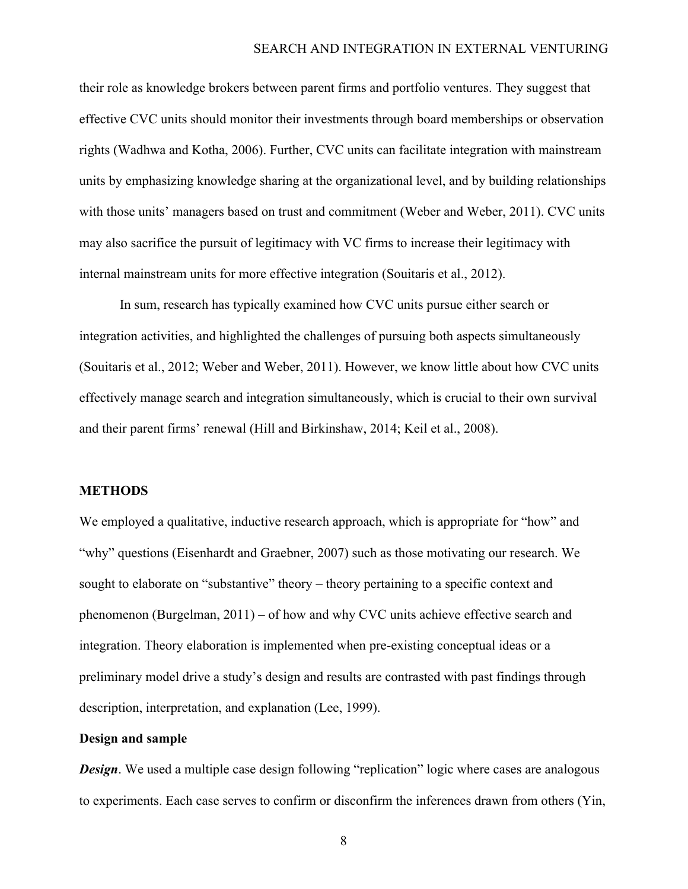their role as knowledge brokers between parent firms and portfolio ventures. They suggest that effective CVC units should monitor their investments through board memberships or observation rights (Wadhwa and Kotha, 2006). Further, CVC units can facilitate integration with mainstream units by emphasizing knowledge sharing at the organizational level, and by building relationships with those units' managers based on trust and commitment (Weber and Weber, 2011). CVC units may also sacrifice the pursuit of legitimacy with VC firms to increase their legitimacy with internal mainstream units for more effective integration (Souitaris et al., 2012).

In sum, research has typically examined how CVC units pursue either search or integration activities, and highlighted the challenges of pursuing both aspects simultaneously (Souitaris et al., 2012; Weber and Weber, 2011). However, we know little about how CVC units effectively manage search and integration simultaneously, which is crucial to their own survival and their parent firms' renewal (Hill and Birkinshaw, 2014; Keil et al., 2008).

### **METHODS**

We employed a qualitative, inductive research approach, which is appropriate for "how" and "why" questions (Eisenhardt and Graebner, 2007) such as those motivating our research. We sought to elaborate on "substantive" theory – theory pertaining to a specific context and phenomenon (Burgelman, 2011) – of how and why CVC units achieve effective search and integration. Theory elaboration is implemented when pre-existing conceptual ideas or a preliminary model drive a study's design and results are contrasted with past findings through description, interpretation, and explanation (Lee, 1999).

#### **Design and sample**

*Design*. We used a multiple case design following "replication" logic where cases are analogous to experiments. Each case serves to confirm or disconfirm the inferences drawn from others (Yin,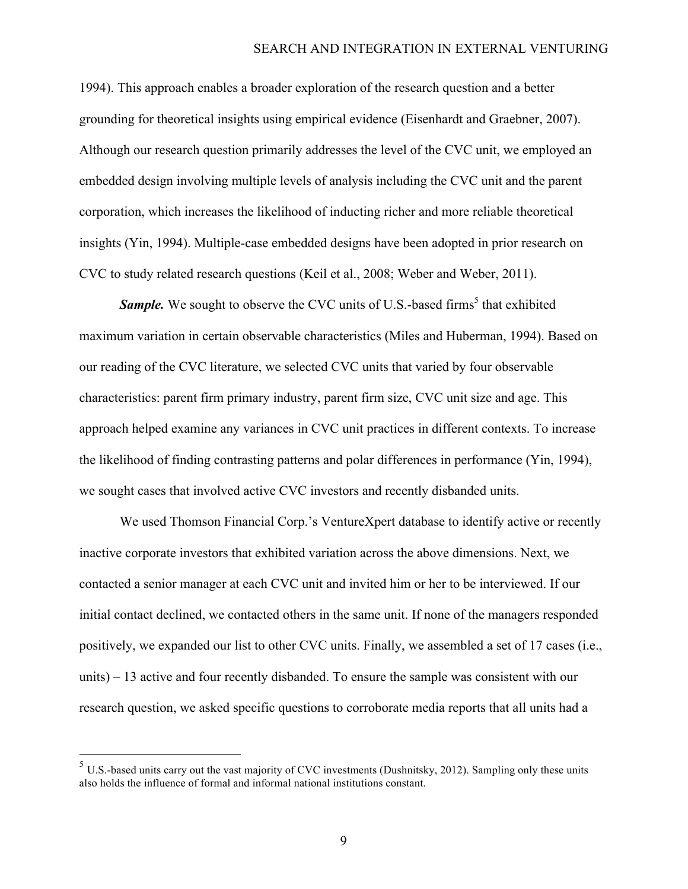1994). This approach enables a broader exploration of the research question and a better grounding for theoretical insights using empirical evidence (Eisenhardt and Graebner, 2007). Although our research question primarily addresses the level of the CVC unit, we employed an embedded design involving multiple levels of analysis including the CVC unit and the parent corporation, which increases the likelihood of inducting richer and more reliable theoretical insights (Yin, 1994). Multiple-case embedded designs have been adopted in prior research on CVC to study related research questions (Keil et al., 2008; Weber and Weber, 2011).

**Sample.** We sought to observe the CVC units of U.S.-based firms<sup>5</sup> that exhibited maximum variation in certain observable characteristics (Miles and Huberman, 1994). Based on our reading of the CVC literature, we selected CVC units that varied by four observable characteristics: parent firm primary industry, parent firm size, CVC unit size and age. This approach helped examine any variances in CVC unit practices in different contexts. To increase the likelihood of finding contrasting patterns and polar differences in performance (Yin, 1994), we sought cases that involved active CVC investors and recently disbanded units.

We used Thomson Financial Corp.'s VentureXpert database to identify active or recently inactive corporate investors that exhibited variation across the above dimensions. Next, we contacted a senior manager at each CVC unit and invited him or her to be interviewed. If our initial contact declined, we contacted others in the same unit. If none of the managers responded positively, we expanded our list to other CVC units. Finally, we assembled a set of 17 cases (i.e., units) – 13 active and four recently disbanded. To ensure the sample was consistent with our research question, we asked specific questions to corroborate media reports that all units had a

 <sup>5</sup> U.S.-based units carry out the vast majority of CVC investments (Dushnitsky, 2012). Sampling only these units also holds the influence of formal and informal national institutions constant.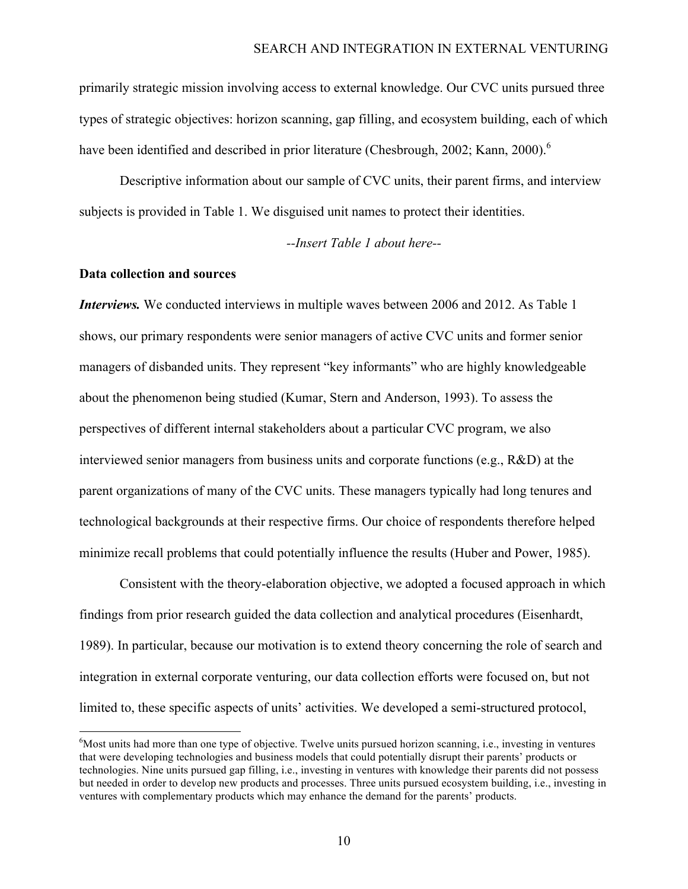primarily strategic mission involving access to external knowledge. Our CVC units pursued three types of strategic objectives: horizon scanning, gap filling, and ecosystem building, each of which have been identified and described in prior literature (Chesbrough,  $2002$ ; Kann,  $2000$ ).<sup>6</sup>

Descriptive information about our sample of CVC units, their parent firms, and interview subjects is provided in Table 1. We disguised unit names to protect their identities.

*--Insert Table 1 about here--*

## **Data collection and sources**

*Interviews.* We conducted interviews in multiple waves between 2006 and 2012. As Table 1 shows, our primary respondents were senior managers of active CVC units and former senior managers of disbanded units. They represent "key informants" who are highly knowledgeable about the phenomenon being studied (Kumar, Stern and Anderson, 1993). To assess the perspectives of different internal stakeholders about a particular CVC program, we also interviewed senior managers from business units and corporate functions (e.g., R&D) at the parent organizations of many of the CVC units. These managers typically had long tenures and technological backgrounds at their respective firms. Our choice of respondents therefore helped minimize recall problems that could potentially influence the results (Huber and Power, 1985).

Consistent with the theory-elaboration objective, we adopted a focused approach in which findings from prior research guided the data collection and analytical procedures (Eisenhardt, 1989). In particular, because our motivation is to extend theory concerning the role of search and integration in external corporate venturing, our data collection efforts were focused on, but not limited to, these specific aspects of units' activities. We developed a semi-structured protocol,

 <sup>6</sup>  $\epsilon$ Most units had more than one type of objective. Twelve units pursued horizon scanning, i.e., investing in ventures that were developing technologies and business models that could potentially disrupt their parents' products or technologies. Nine units pursued gap filling, i.e., investing in ventures with knowledge their parents did not possess but needed in order to develop new products and processes. Three units pursued ecosystem building, i.e., investing in ventures with complementary products which may enhance the demand for the parents' products.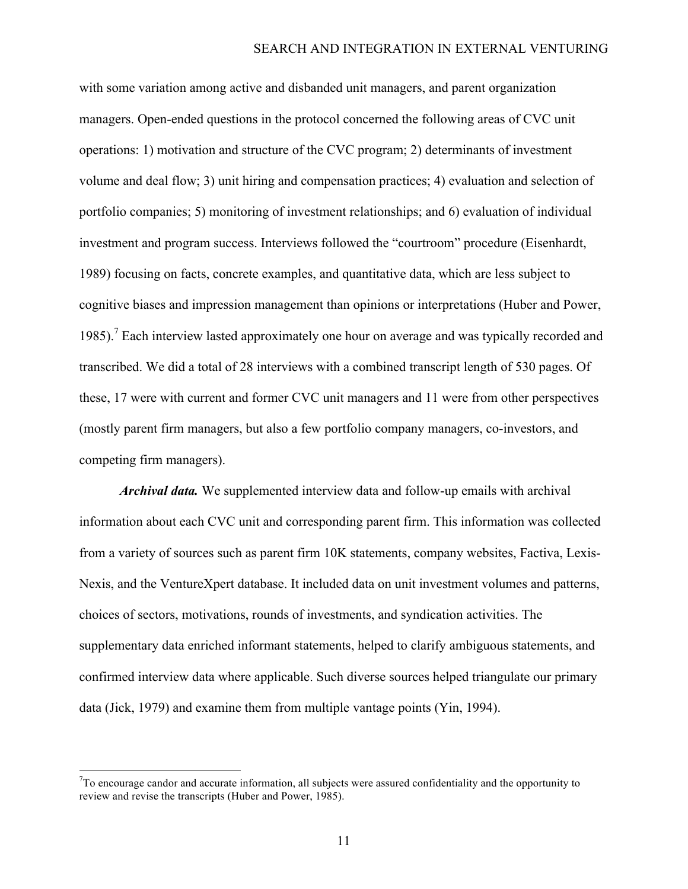with some variation among active and disbanded unit managers, and parent organization managers. Open-ended questions in the protocol concerned the following areas of CVC unit operations: 1) motivation and structure of the CVC program; 2) determinants of investment volume and deal flow; 3) unit hiring and compensation practices; 4) evaluation and selection of portfolio companies; 5) monitoring of investment relationships; and 6) evaluation of individual investment and program success. Interviews followed the "courtroom" procedure (Eisenhardt, 1989) focusing on facts, concrete examples, and quantitative data, which are less subject to cognitive biases and impression management than opinions or interpretations (Huber and Power, 1985).<sup>7</sup> Each interview lasted approximately one hour on average and was typically recorded and transcribed. We did a total of 28 interviews with a combined transcript length of 530 pages. Of these, 17 were with current and former CVC unit managers and 11 were from other perspectives (mostly parent firm managers, but also a few portfolio company managers, co-investors, and competing firm managers).

*Archival data.* We supplemented interview data and follow-up emails with archival information about each CVC unit and corresponding parent firm. This information was collected from a variety of sources such as parent firm 10K statements, company websites, Factiva, Lexis-Nexis, and the VentureXpert database. It included data on unit investment volumes and patterns, choices of sectors, motivations, rounds of investments, and syndication activities. The supplementary data enriched informant statements, helped to clarify ambiguous statements, and confirmed interview data where applicable. Such diverse sources helped triangulate our primary data (Jick, 1979) and examine them from multiple vantage points (Yin, 1994).

<sup>-&</sup>lt;br>7  $T_0$  encourage candor and accurate information, all subjects were assured confidentiality and the opportunity to review and revise the transcripts (Huber and Power, 1985).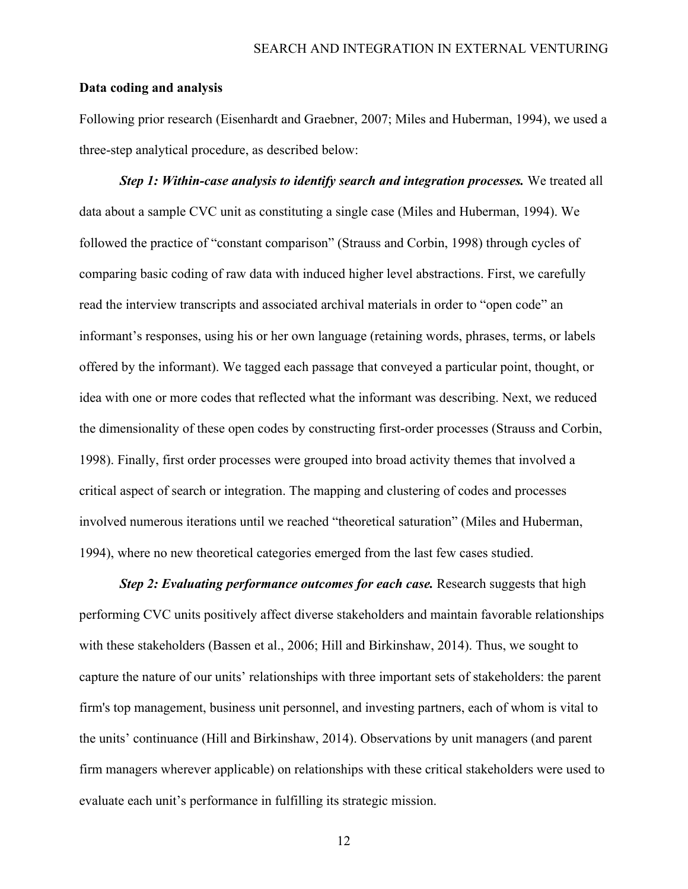#### **Data coding and analysis**

Following prior research (Eisenhardt and Graebner, 2007; Miles and Huberman, 1994), we used a three-step analytical procedure, as described below:

*Step 1: Within-case analysis to identify search and integration processes.* We treated all data about a sample CVC unit as constituting a single case (Miles and Huberman, 1994). We followed the practice of "constant comparison" (Strauss and Corbin, 1998) through cycles of comparing basic coding of raw data with induced higher level abstractions. First, we carefully read the interview transcripts and associated archival materials in order to "open code" an informant's responses, using his or her own language (retaining words, phrases, terms, or labels offered by the informant). We tagged each passage that conveyed a particular point, thought, or idea with one or more codes that reflected what the informant was describing. Next, we reduced the dimensionality of these open codes by constructing first-order processes (Strauss and Corbin, 1998). Finally, first order processes were grouped into broad activity themes that involved a critical aspect of search or integration. The mapping and clustering of codes and processes involved numerous iterations until we reached "theoretical saturation" (Miles and Huberman, 1994), where no new theoretical categories emerged from the last few cases studied.

*Step 2: Evaluating performance outcomes for each case.* Research suggests that high performing CVC units positively affect diverse stakeholders and maintain favorable relationships with these stakeholders (Bassen et al., 2006; Hill and Birkinshaw, 2014). Thus, we sought to capture the nature of our units' relationships with three important sets of stakeholders: the parent firm's top management, business unit personnel, and investing partners, each of whom is vital to the units' continuance (Hill and Birkinshaw, 2014). Observations by unit managers (and parent firm managers wherever applicable) on relationships with these critical stakeholders were used to evaluate each unit's performance in fulfilling its strategic mission.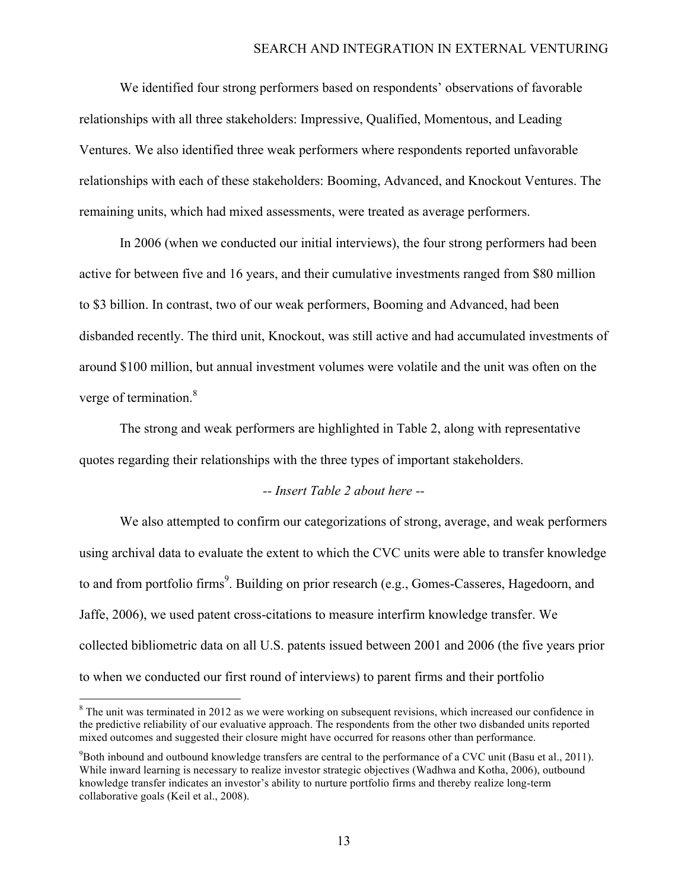We identified four strong performers based on respondents' observations of favorable relationships with all three stakeholders: Impressive, Qualified, Momentous, and Leading Ventures. We also identified three weak performers where respondents reported unfavorable relationships with each of these stakeholders: Booming, Advanced, and Knockout Ventures. The remaining units, which had mixed assessments, were treated as average performers.

In 2006 (when we conducted our initial interviews), the four strong performers had been active for between five and 16 years, and their cumulative investments ranged from \$80 million to \$3 billion. In contrast, two of our weak performers, Booming and Advanced, had been disbanded recently. The third unit, Knockout, was still active and had accumulated investments of around \$100 million, but annual investment volumes were volatile and the unit was often on the verge of termination.<sup>8</sup>

The strong and weak performers are highlighted in Table 2, along with representative quotes regarding their relationships with the three types of important stakeholders.

## *-- Insert Table 2 about here --*

We also attempted to confirm our categorizations of strong, average, and weak performers using archival data to evaluate the extent to which the CVC units were able to transfer knowledge to and from portfolio firms<sup>9</sup>. Building on prior research (e.g., Gomes-Casseres, Hagedoorn, and Jaffe, 2006), we used patent cross-citations to measure interfirm knowledge transfer. We collected bibliometric data on all U.S. patents issued between 2001 and 2006 (the five years prior to when we conducted our first round of interviews) to parent firms and their portfolio

<sup>&</sup>lt;sup>8</sup> The unit was terminated in 2012 as we were working on subsequent revisions, which increased our confidence in the predictive reliability of our evaluative approach. The respondents from the other two disbanded units reported mixed outcomes and suggested their closure might have occurred for reasons other than performance.

 $^{9}$ Both inbound and outbound knowledge transfers are central to the performance of a CVC unit (Basu et al., 2011). While inward learning is necessary to realize investor strategic objectives (Wadhwa and Kotha, 2006), outbound knowledge transfer indicates an investor's ability to nurture portfolio firms and thereby realize long-term collaborative goals (Keil et al., 2008).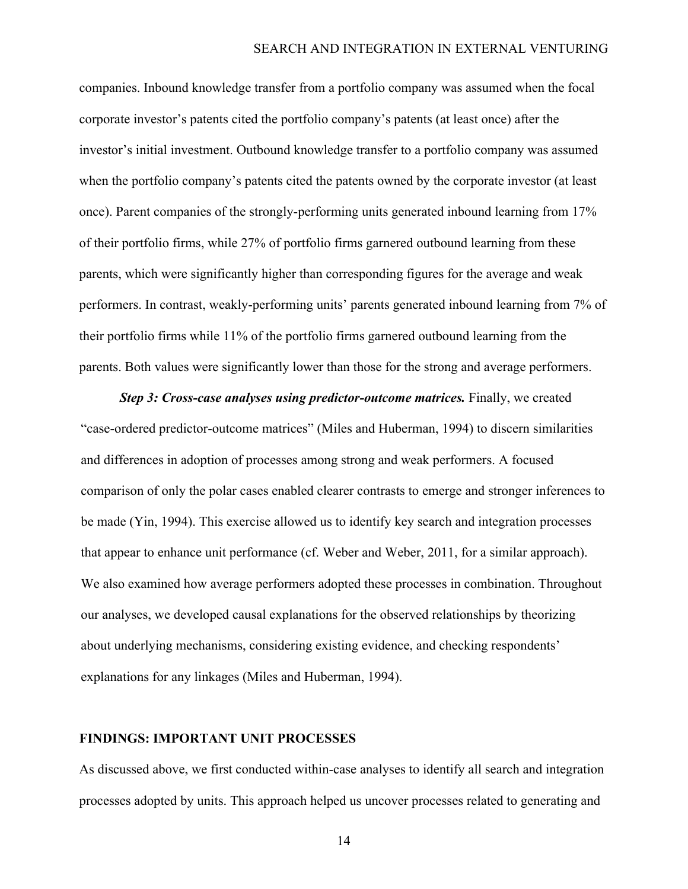companies. Inbound knowledge transfer from a portfolio company was assumed when the focal corporate investor's patents cited the portfolio company's patents (at least once) after the investor's initial investment. Outbound knowledge transfer to a portfolio company was assumed when the portfolio company's patents cited the patents owned by the corporate investor (at least once). Parent companies of the strongly-performing units generated inbound learning from 17% of their portfolio firms, while 27% of portfolio firms garnered outbound learning from these parents, which were significantly higher than corresponding figures for the average and weak performers. In contrast, weakly-performing units' parents generated inbound learning from 7% of their portfolio firms while 11% of the portfolio firms garnered outbound learning from the parents. Both values were significantly lower than those for the strong and average performers.

*Step 3: Cross-case analyses using predictor-outcome matrices.* Finally, we created "case-ordered predictor-outcome matrices" (Miles and Huberman, 1994) to discern similarities and differences in adoption of processes among strong and weak performers. A focused comparison of only the polar cases enabled clearer contrasts to emerge and stronger inferences to be made (Yin, 1994). This exercise allowed us to identify key search and integration processes that appear to enhance unit performance (cf. Weber and Weber, 2011, for a similar approach). We also examined how average performers adopted these processes in combination. Throughout our analyses, we developed causal explanations for the observed relationships by theorizing about underlying mechanisms, considering existing evidence, and checking respondents' explanations for any linkages (Miles and Huberman, 1994).

#### **FINDINGS: IMPORTANT UNIT PROCESSES**

As discussed above, we first conducted within-case analyses to identify all search and integration processes adopted by units. This approach helped us uncover processes related to generating and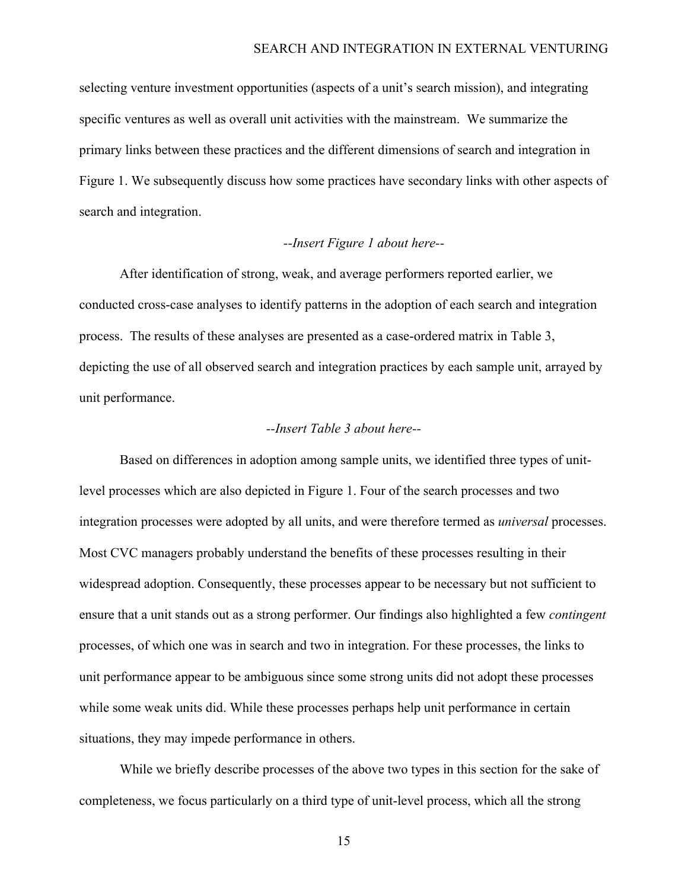selecting venture investment opportunities (aspects of a unit's search mission), and integrating specific ventures as well as overall unit activities with the mainstream. We summarize the primary links between these practices and the different dimensions of search and integration in Figure 1. We subsequently discuss how some practices have secondary links with other aspects of search and integration.

## *--Insert Figure 1 about here--*

After identification of strong, weak, and average performers reported earlier, we conducted cross-case analyses to identify patterns in the adoption of each search and integration process. The results of these analyses are presented as a case-ordered matrix in Table 3, depicting the use of all observed search and integration practices by each sample unit, arrayed by unit performance.

## *--Insert Table 3 about here--*

Based on differences in adoption among sample units, we identified three types of unitlevel processes which are also depicted in Figure 1. Four of the search processes and two integration processes were adopted by all units, and were therefore termed as *universal* processes. Most CVC managers probably understand the benefits of these processes resulting in their widespread adoption. Consequently, these processes appear to be necessary but not sufficient to ensure that a unit stands out as a strong performer. Our findings also highlighted a few *contingent* processes, of which one was in search and two in integration. For these processes, the links to unit performance appear to be ambiguous since some strong units did not adopt these processes while some weak units did. While these processes perhaps help unit performance in certain situations, they may impede performance in others.

While we briefly describe processes of the above two types in this section for the sake of completeness, we focus particularly on a third type of unit-level process, which all the strong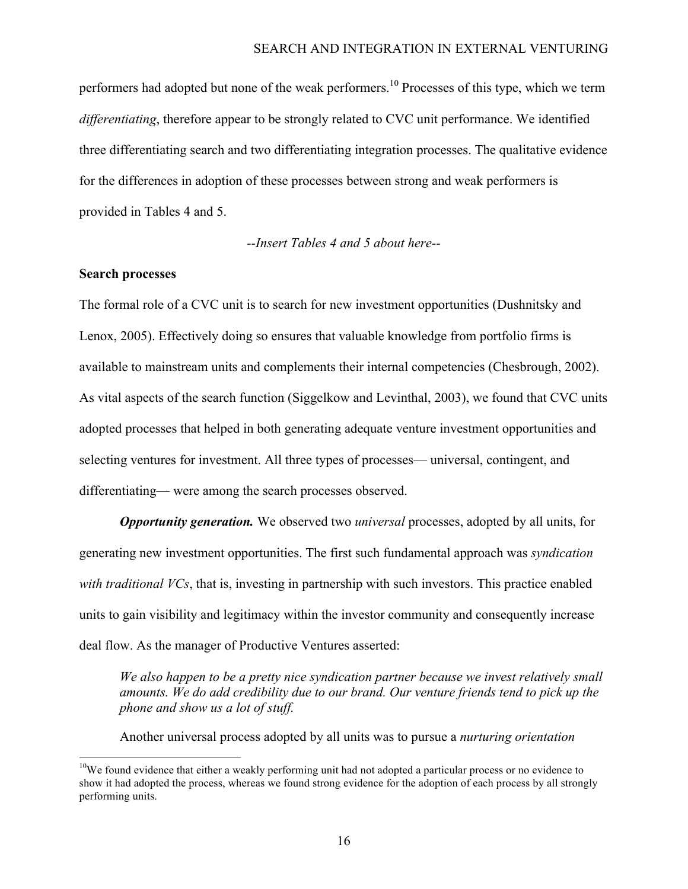performers had adopted but none of the weak performers.<sup>10</sup> Processes of this type, which we term *differentiating*, therefore appear to be strongly related to CVC unit performance. We identified three differentiating search and two differentiating integration processes. The qualitative evidence for the differences in adoption of these processes between strong and weak performers is provided in Tables 4 and 5.

*--Insert Tables 4 and 5 about here--*

## **Search processes**

The formal role of a CVC unit is to search for new investment opportunities (Dushnitsky and Lenox, 2005). Effectively doing so ensures that valuable knowledge from portfolio firms is available to mainstream units and complements their internal competencies (Chesbrough, 2002). As vital aspects of the search function (Siggelkow and Levinthal, 2003), we found that CVC units adopted processes that helped in both generating adequate venture investment opportunities and selecting ventures for investment. All three types of processes— universal, contingent, and differentiating— were among the search processes observed.

*Opportunity generation.* We observed two *universal* processes, adopted by all units, for generating new investment opportunities. The first such fundamental approach was *syndication with traditional VCs*, that is, investing in partnership with such investors. This practice enabled units to gain visibility and legitimacy within the investor community and consequently increase deal flow. As the manager of Productive Ventures asserted:

*We also happen to be a pretty nice syndication partner because we invest relatively small amounts. We do add credibility due to our brand. Our venture friends tend to pick up the phone and show us a lot of stuff.*

Another universal process adopted by all units was to pursue a *nurturing orientation*

<sup>&</sup>lt;sup>10</sup>We found evidence that either a weakly performing unit had not adopted a particular process or no evidence to show it had adopted the process, whereas we found strong evidence for the adoption of each process by all strongly performing units.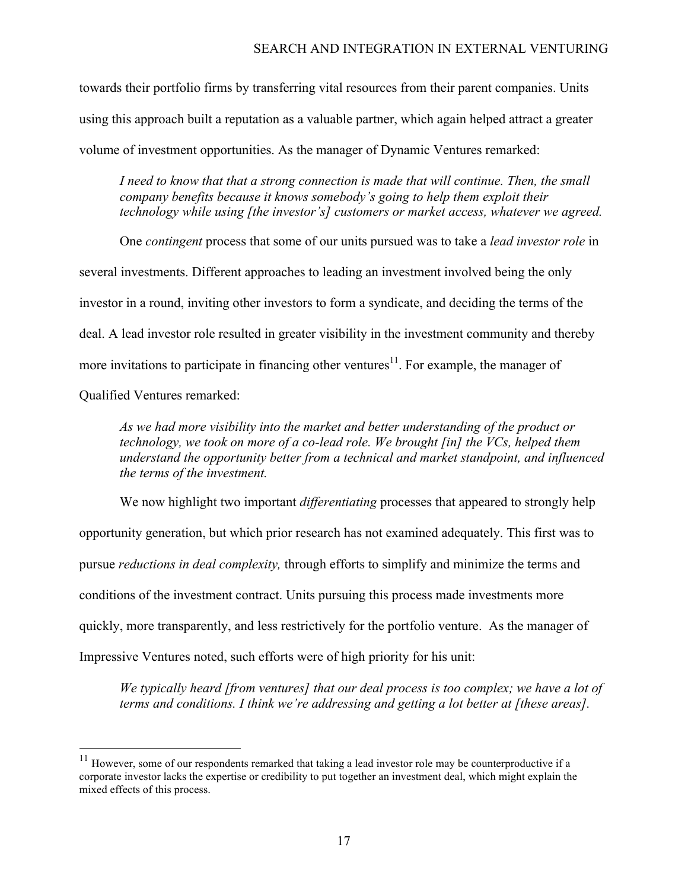towards their portfolio firms by transferring vital resources from their parent companies. Units using this approach built a reputation as a valuable partner, which again helped attract a greater volume of investment opportunities. As the manager of Dynamic Ventures remarked:

*I need to know that that a strong connection is made that will continue. Then, the small company benefits because it knows somebody's going to help them exploit their technology while using [the investor's] customers or market access, whatever we agreed.* 

One *contingent* process that some of our units pursued was to take a *lead investor role* in several investments. Different approaches to leading an investment involved being the only investor in a round, inviting other investors to form a syndicate, and deciding the terms of the deal. A lead investor role resulted in greater visibility in the investment community and thereby more invitations to participate in financing other ventures<sup>11</sup>. For example, the manager of

Qualified Ventures remarked:

*As we had more visibility into the market and better understanding of the product or technology, we took on more of a co-lead role. We brought [in] the VCs, helped them understand the opportunity better from a technical and market standpoint, and influenced the terms of the investment.*

We now highlight two important *differentiating* processes that appeared to strongly help opportunity generation, but which prior research has not examined adequately. This first was to pursue *reductions in deal complexity,* through efforts to simplify and minimize the terms and conditions of the investment contract. Units pursuing this process made investments more quickly, more transparently, and less restrictively for the portfolio venture. As the manager of Impressive Ventures noted, such efforts were of high priority for his unit:

*We typically heard [from ventures] that our deal process is too complex; we have a lot of terms and conditions. I think we're addressing and getting a lot better at [these areas].* 

 $11$  However, some of our respondents remarked that taking a lead investor role may be counterproductive if a corporate investor lacks the expertise or credibility to put together an investment deal, which might explain the mixed effects of this process.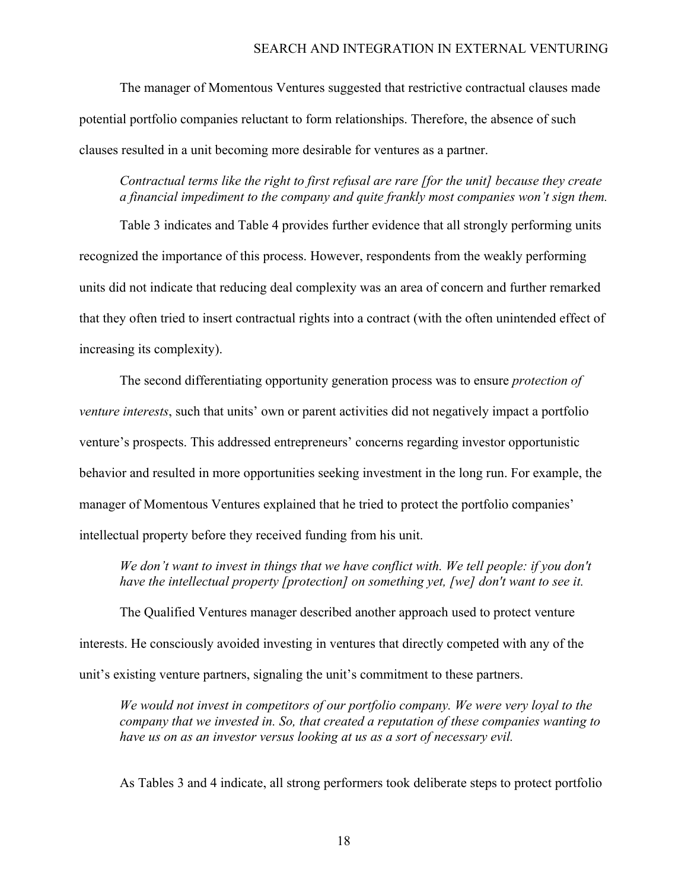The manager of Momentous Ventures suggested that restrictive contractual clauses made potential portfolio companies reluctant to form relationships. Therefore, the absence of such clauses resulted in a unit becoming more desirable for ventures as a partner.

## *Contractual terms like the right to first refusal are rare [for the unit] because they create a financial impediment to the company and quite frankly most companies won't sign them.*

Table 3 indicates and Table 4 provides further evidence that all strongly performing units recognized the importance of this process. However, respondents from the weakly performing units did not indicate that reducing deal complexity was an area of concern and further remarked that they often tried to insert contractual rights into a contract (with the often unintended effect of increasing its complexity).

The second differentiating opportunity generation process was to ensure *protection of venture interests*, such that units' own or parent activities did not negatively impact a portfolio venture's prospects. This addressed entrepreneurs' concerns regarding investor opportunistic behavior and resulted in more opportunities seeking investment in the long run. For example, the manager of Momentous Ventures explained that he tried to protect the portfolio companies' intellectual property before they received funding from his unit.

*We don't want to invest in things that we have conflict with. We tell people: if you don't have the intellectual property [protection] on something yet, [we] don't want to see it.* 

The Qualified Ventures manager described another approach used to protect venture interests. He consciously avoided investing in ventures that directly competed with any of the unit's existing venture partners, signaling the unit's commitment to these partners.

*We would not invest in competitors of our portfolio company. We were very loyal to the company that we invested in. So, that created a reputation of these companies wanting to have us on as an investor versus looking at us as a sort of necessary evil.*

As Tables 3 and 4 indicate, all strong performers took deliberate steps to protect portfolio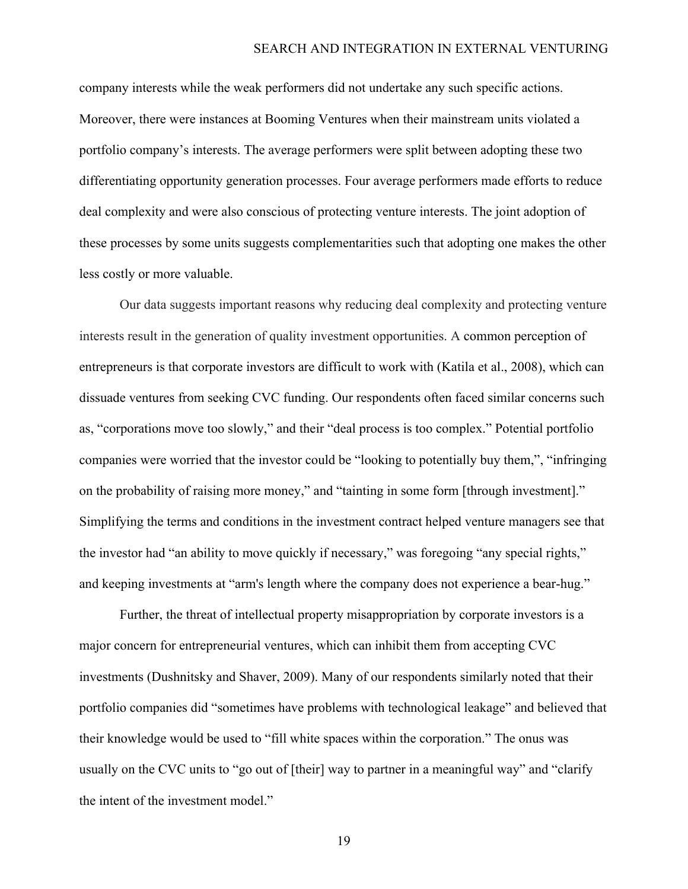company interests while the weak performers did not undertake any such specific actions. Moreover, there were instances at Booming Ventures when their mainstream units violated a portfolio company's interests. The average performers were split between adopting these two differentiating opportunity generation processes. Four average performers made efforts to reduce deal complexity and were also conscious of protecting venture interests. The joint adoption of these processes by some units suggests complementarities such that adopting one makes the other less costly or more valuable.

Our data suggests important reasons why reducing deal complexity and protecting venture interests result in the generation of quality investment opportunities. A common perception of entrepreneurs is that corporate investors are difficult to work with (Katila et al., 2008), which can dissuade ventures from seeking CVC funding. Our respondents often faced similar concerns such as, "corporations move too slowly," and their "deal process is too complex." Potential portfolio companies were worried that the investor could be "looking to potentially buy them,", "infringing on the probability of raising more money," and "tainting in some form [through investment]." Simplifying the terms and conditions in the investment contract helped venture managers see that the investor had "an ability to move quickly if necessary," was foregoing "any special rights," and keeping investments at "arm's length where the company does not experience a bear-hug."

Further, the threat of intellectual property misappropriation by corporate investors is a major concern for entrepreneurial ventures, which can inhibit them from accepting CVC investments (Dushnitsky and Shaver, 2009). Many of our respondents similarly noted that their portfolio companies did "sometimes have problems with technological leakage" and believed that their knowledge would be used to "fill white spaces within the corporation." The onus was usually on the CVC units to "go out of [their] way to partner in a meaningful way" and "clarify the intent of the investment model."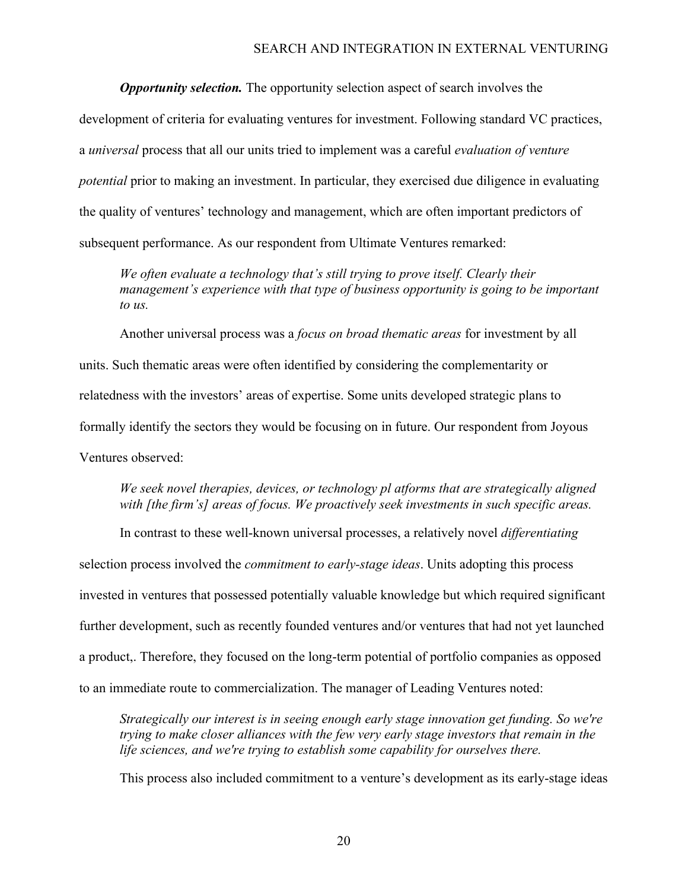*Opportunity selection.* The opportunity selection aspect of search involves the development of criteria for evaluating ventures for investment. Following standard VC practices, a *universal* process that all our units tried to implement was a careful *evaluation of venture potential* prior to making an investment. In particular, they exercised due diligence in evaluating the quality of ventures' technology and management, which are often important predictors of subsequent performance. As our respondent from Ultimate Ventures remarked:

*We often evaluate a technology that's still trying to prove itself. Clearly their management's experience with that type of business opportunity is going to be important to us.* 

Another universal process was a *focus on broad thematic areas* for investment by all units. Such thematic areas were often identified by considering the complementarity or relatedness with the investors' areas of expertise. Some units developed strategic plans to formally identify the sectors they would be focusing on in future. Our respondent from Joyous Ventures observed:

## *We seek novel therapies, devices, or technology pl atforms that are strategically aligned with [the firm's] areas of focus. We proactively seek investments in such specific areas.*

In contrast to these well-known universal processes, a relatively novel *differentiating*  selection process involved the *commitment to early-stage ideas*. Units adopting this process invested in ventures that possessed potentially valuable knowledge but which required significant further development, such as recently founded ventures and/or ventures that had not yet launched a product,. Therefore, they focused on the long-term potential of portfolio companies as opposed to an immediate route to commercialization. The manager of Leading Ventures noted:

*Strategically our interest is in seeing enough early stage innovation get funding. So we're trying to make closer alliances with the few very early stage investors that remain in the life sciences, and we're trying to establish some capability for ourselves there.*

This process also included commitment to a venture's development as its early-stage ideas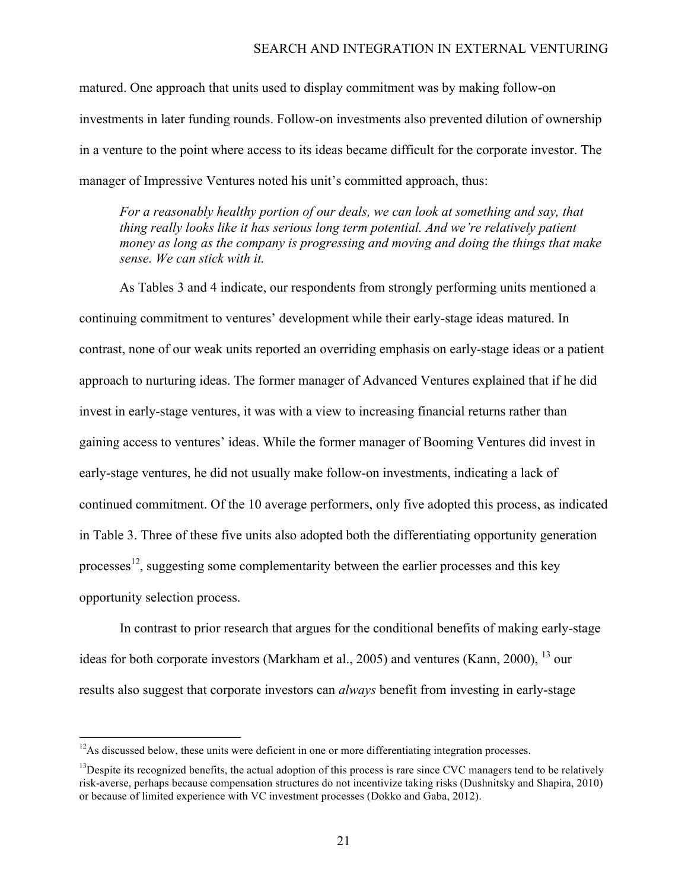matured. One approach that units used to display commitment was by making follow-on investments in later funding rounds. Follow-on investments also prevented dilution of ownership in a venture to the point where access to its ideas became difficult for the corporate investor. The manager of Impressive Ventures noted his unit's committed approach, thus:

*For a reasonably healthy portion of our deals, we can look at something and say, that thing really looks like it has serious long term potential. And we're relatively patient money as long as the company is progressing and moving and doing the things that make sense. We can stick with it.* 

As Tables 3 and 4 indicate, our respondents from strongly performing units mentioned a continuing commitment to ventures' development while their early-stage ideas matured. In contrast, none of our weak units reported an overriding emphasis on early-stage ideas or a patient approach to nurturing ideas. The former manager of Advanced Ventures explained that if he did invest in early-stage ventures, it was with a view to increasing financial returns rather than gaining access to ventures' ideas. While the former manager of Booming Ventures did invest in early-stage ventures, he did not usually make follow-on investments, indicating a lack of continued commitment. Of the 10 average performers, only five adopted this process, as indicated in Table 3. Three of these five units also adopted both the differentiating opportunity generation processes<sup>12</sup>, suggesting some complementarity between the earlier processes and this key opportunity selection process.

In contrast to prior research that argues for the conditional benefits of making early-stage ideas for both corporate investors (Markham et al., 2005) and ventures (Kann, 2000), <sup>13</sup> our results also suggest that corporate investors can *always* benefit from investing in early-stage

 $12$ As discussed below, these units were deficient in one or more differentiating integration processes.

 $<sup>13</sup>$ Despite its recognized benefits, the actual adoption of this process is rare since CVC managers tend to be relatively</sup> risk-averse, perhaps because compensation structures do not incentivize taking risks (Dushnitsky and Shapira, 2010) or because of limited experience with VC investment processes (Dokko and Gaba, 2012).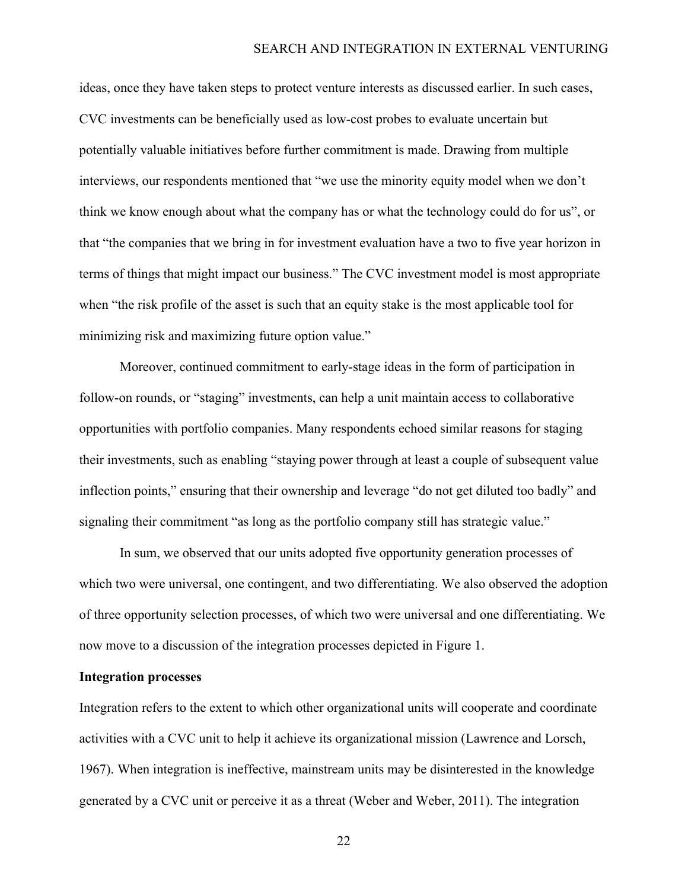ideas, once they have taken steps to protect venture interests as discussed earlier. In such cases, CVC investments can be beneficially used as low-cost probes to evaluate uncertain but potentially valuable initiatives before further commitment is made. Drawing from multiple interviews, our respondents mentioned that "we use the minority equity model when we don't think we know enough about what the company has or what the technology could do for us", or that "the companies that we bring in for investment evaluation have a two to five year horizon in terms of things that might impact our business." The CVC investment model is most appropriate when "the risk profile of the asset is such that an equity stake is the most applicable tool for minimizing risk and maximizing future option value."

Moreover, continued commitment to early-stage ideas in the form of participation in follow-on rounds, or "staging" investments, can help a unit maintain access to collaborative opportunities with portfolio companies. Many respondents echoed similar reasons for staging their investments, such as enabling "staying power through at least a couple of subsequent value inflection points," ensuring that their ownership and leverage "do not get diluted too badly" and signaling their commitment "as long as the portfolio company still has strategic value."

In sum, we observed that our units adopted five opportunity generation processes of which two were universal, one contingent, and two differentiating. We also observed the adoption of three opportunity selection processes, of which two were universal and one differentiating. We now move to a discussion of the integration processes depicted in Figure 1.

## **Integration processes**

Integration refers to the extent to which other organizational units will cooperate and coordinate activities with a CVC unit to help it achieve its organizational mission (Lawrence and Lorsch, 1967). When integration is ineffective, mainstream units may be disinterested in the knowledge generated by a CVC unit or perceive it as a threat (Weber and Weber, 2011). The integration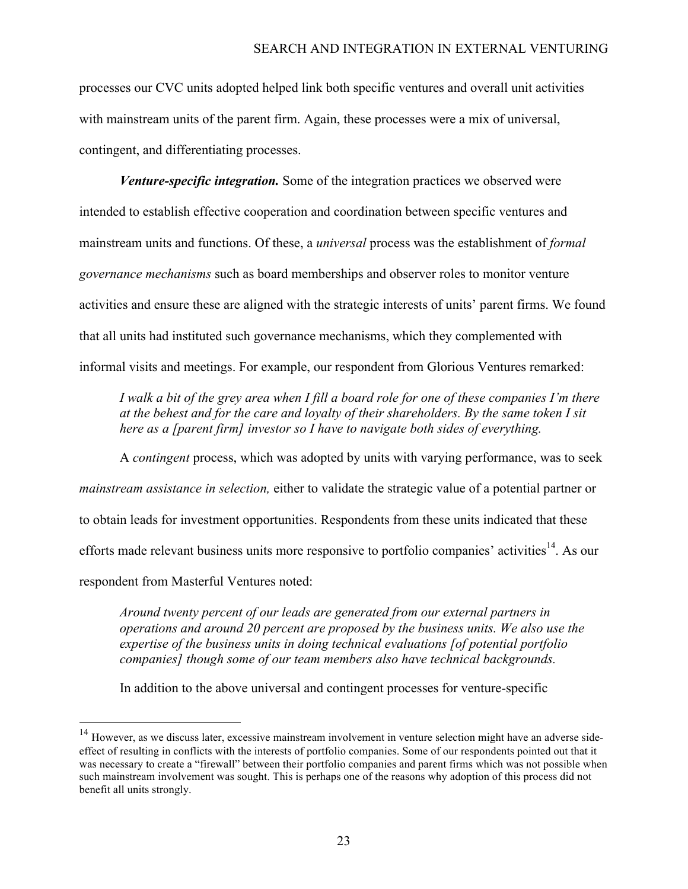processes our CVC units adopted helped link both specific ventures and overall unit activities with mainstream units of the parent firm. Again, these processes were a mix of universal, contingent, and differentiating processes.

*Venture-specific integration.* Some of the integration practices we observed were intended to establish effective cooperation and coordination between specific ventures and mainstream units and functions. Of these, a *universal* process was the establishment of *formal governance mechanisms* such as board memberships and observer roles to monitor venture activities and ensure these are aligned with the strategic interests of units' parent firms. We found that all units had instituted such governance mechanisms, which they complemented with informal visits and meetings. For example, our respondent from Glorious Ventures remarked:

*I walk a bit of the grey area when I fill a board role for one of these companies I'm there at the behest and for the care and loyalty of their shareholders. By the same token I sit here as a [parent firm] investor so I have to navigate both sides of everything.*

A *contingent* process, which was adopted by units with varying performance, was to seek *mainstream assistance in selection,* either to validate the strategic value of a potential partner or to obtain leads for investment opportunities. Respondents from these units indicated that these efforts made relevant business units more responsive to portfolio companies' activities<sup>14</sup>. As our respondent from Masterful Ventures noted:

*Around twenty percent of our leads are generated from our external partners in operations and around 20 percent are proposed by the business units. We also use the expertise of the business units in doing technical evaluations [of potential portfolio companies] though some of our team members also have technical backgrounds.*

In addition to the above universal and contingent processes for venture-specific

<sup>&</sup>lt;sup>14</sup> However, as we discuss later, excessive mainstream involvement in venture selection might have an adverse sideeffect of resulting in conflicts with the interests of portfolio companies. Some of our respondents pointed out that it was necessary to create a "firewall" between their portfolio companies and parent firms which was not possible when such mainstream involvement was sought. This is perhaps one of the reasons why adoption of this process did not benefit all units strongly.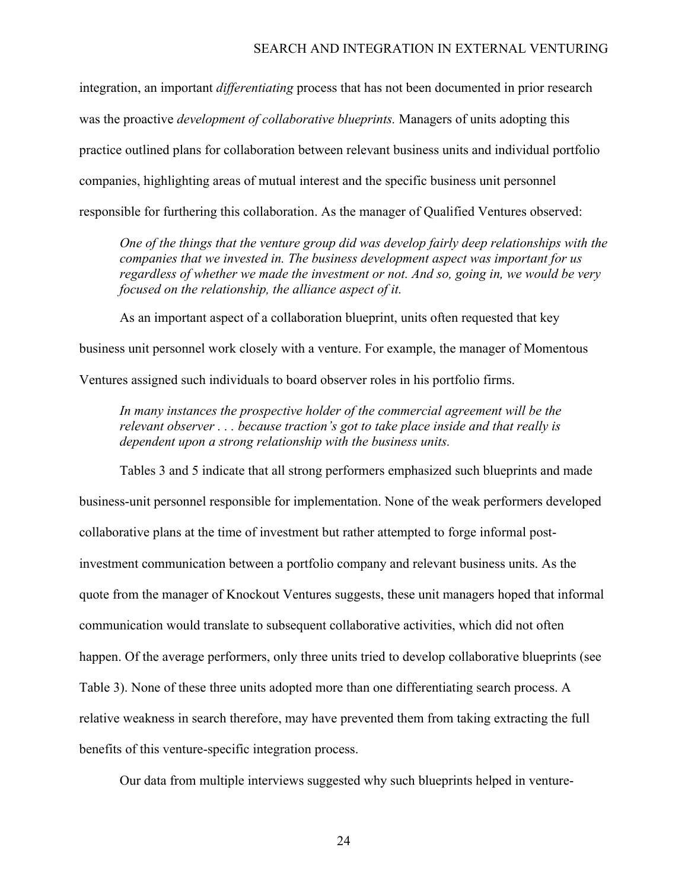integration, an important *differentiating* process that has not been documented in prior research was the proactive *development of collaborative blueprints.* Managers of units adopting this practice outlined plans for collaboration between relevant business units and individual portfolio companies, highlighting areas of mutual interest and the specific business unit personnel responsible for furthering this collaboration. As the manager of Qualified Ventures observed:

*One of the things that the venture group did was develop fairly deep relationships with the companies that we invested in. The business development aspect was important for us regardless of whether we made the investment or not. And so, going in, we would be very focused on the relationship, the alliance aspect of it.* 

As an important aspect of a collaboration blueprint, units often requested that key

business unit personnel work closely with a venture. For example, the manager of Momentous

Ventures assigned such individuals to board observer roles in his portfolio firms.

*In many instances the prospective holder of the commercial agreement will be the relevant observer . . . because traction's got to take place inside and that really is dependent upon a strong relationship with the business units.*

Tables 3 and 5 indicate that all strong performers emphasized such blueprints and made business-unit personnel responsible for implementation. None of the weak performers developed collaborative plans at the time of investment but rather attempted to forge informal postinvestment communication between a portfolio company and relevant business units. As the quote from the manager of Knockout Ventures suggests, these unit managers hoped that informal communication would translate to subsequent collaborative activities, which did not often happen. Of the average performers, only three units tried to develop collaborative blueprints (see Table 3). None of these three units adopted more than one differentiating search process. A relative weakness in search therefore, may have prevented them from taking extracting the full benefits of this venture-specific integration process.

Our data from multiple interviews suggested why such blueprints helped in venture-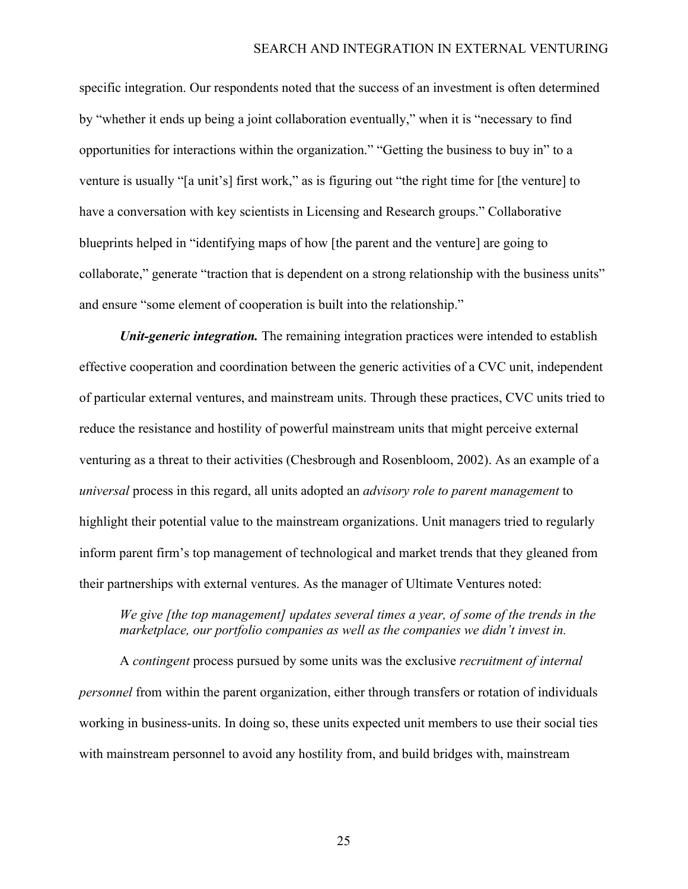specific integration. Our respondents noted that the success of an investment is often determined by "whether it ends up being a joint collaboration eventually," when it is "necessary to find opportunities for interactions within the organization." "Getting the business to buy in" to a venture is usually "[a unit's] first work," as is figuring out "the right time for [the venture] to have a conversation with key scientists in Licensing and Research groups." Collaborative blueprints helped in "identifying maps of how [the parent and the venture] are going to collaborate," generate "traction that is dependent on a strong relationship with the business units" and ensure "some element of cooperation is built into the relationship."

*Unit-generic integration.* The remaining integration practices were intended to establish effective cooperation and coordination between the generic activities of a CVC unit, independent of particular external ventures, and mainstream units. Through these practices, CVC units tried to reduce the resistance and hostility of powerful mainstream units that might perceive external venturing as a threat to their activities (Chesbrough and Rosenbloom, 2002). As an example of a *universal* process in this regard, all units adopted an *advisory role to parent management* to highlight their potential value to the mainstream organizations. Unit managers tried to regularly inform parent firm's top management of technological and market trends that they gleaned from their partnerships with external ventures. As the manager of Ultimate Ventures noted:

*We give [the top management] updates several times a year, of some of the trends in the marketplace, our portfolio companies as well as the companies we didn't invest in.*

A *contingent* process pursued by some units was the exclusive *recruitment of internal personnel* from within the parent organization, either through transfers or rotation of individuals working in business-units. In doing so, these units expected unit members to use their social ties with mainstream personnel to avoid any hostility from, and build bridges with, mainstream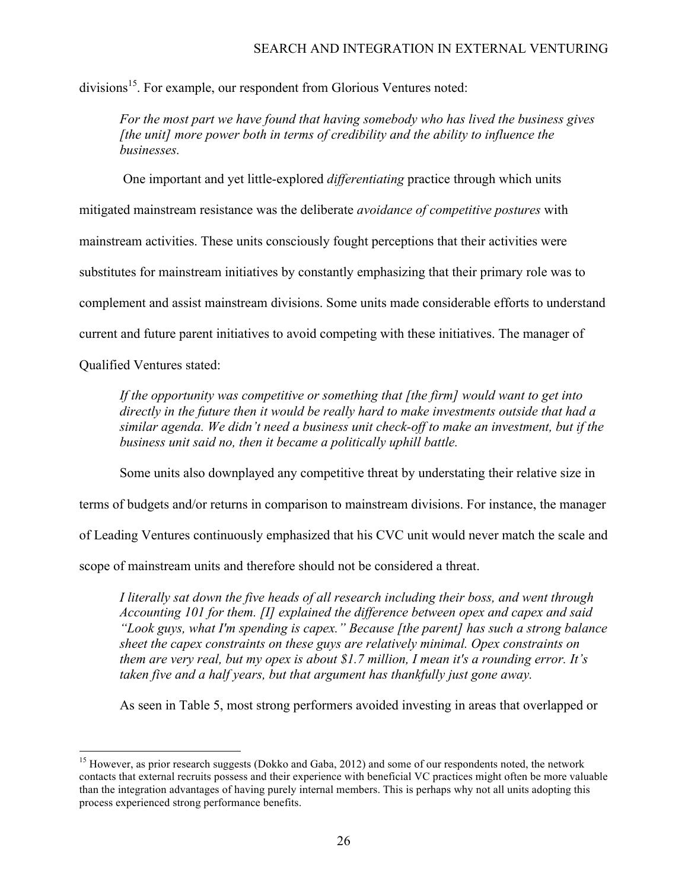$divisions<sup>15</sup>$ . For example, our respondent from Glorious Ventures noted:

*For the most part we have found that having somebody who has lived the business gives [the unit] more power both in terms of credibility and the ability to influence the businesses.* 

One important and yet little-explored *differentiating* practice through which units mitigated mainstream resistance was the deliberate *avoidance of competitive postures* with mainstream activities. These units consciously fought perceptions that their activities were substitutes for mainstream initiatives by constantly emphasizing that their primary role was to complement and assist mainstream divisions. Some units made considerable efforts to understand current and future parent initiatives to avoid competing with these initiatives. The manager of

Qualified Ventures stated:

*If the opportunity was competitive or something that [the firm] would want to get into directly in the future then it would be really hard to make investments outside that had a similar agenda. We didn't need a business unit check-off to make an investment, but if the business unit said no, then it became a politically uphill battle.*

Some units also downplayed any competitive threat by understating their relative size in

terms of budgets and/or returns in comparison to mainstream divisions. For instance, the manager

of Leading Ventures continuously emphasized that his CVC unit would never match the scale and

scope of mainstream units and therefore should not be considered a threat.

*I literally sat down the five heads of all research including their boss, and went through Accounting 101 for them. [I] explained the difference between opex and capex and said "Look guys, what I'm spending is capex." Because [the parent] has such a strong balance sheet the capex constraints on these guys are relatively minimal. Opex constraints on them are very real, but my opex is about \$1.7 million, I mean it's a rounding error. It's taken five and a half years, but that argument has thankfully just gone away.*

As seen in Table 5, most strong performers avoided investing in areas that overlapped or

<sup>&</sup>lt;sup>15</sup> However, as prior research suggests (Dokko and Gaba, 2012) and some of our respondents noted, the network contacts that external recruits possess and their experience with beneficial VC practices might often be more valuable than the integration advantages of having purely internal members. This is perhaps why not all units adopting this process experienced strong performance benefits.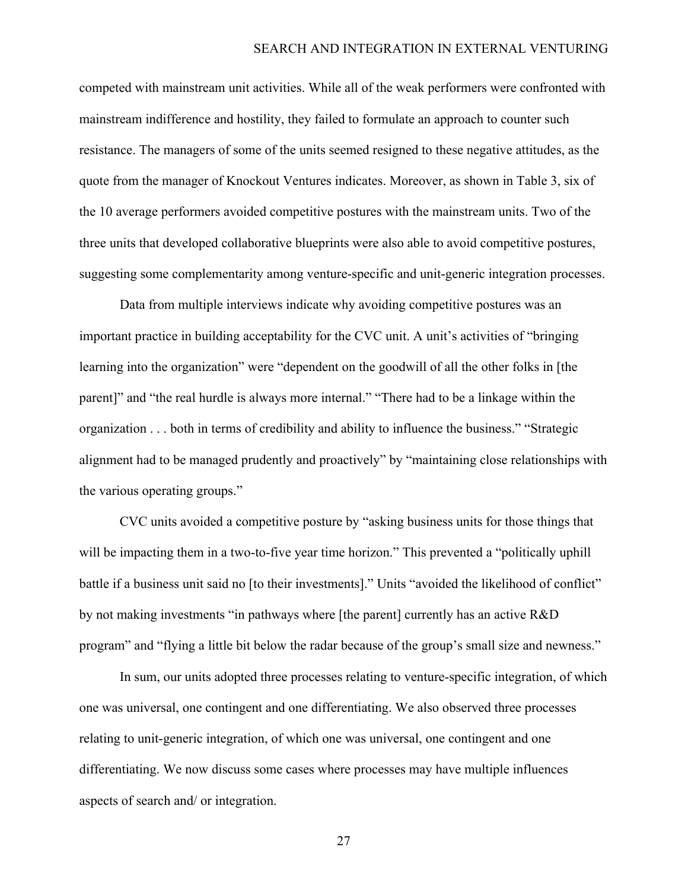competed with mainstream unit activities. While all of the weak performers were confronted with mainstream indifference and hostility, they failed to formulate an approach to counter such resistance. The managers of some of the units seemed resigned to these negative attitudes, as the quote from the manager of Knockout Ventures indicates. Moreover, as shown in Table 3, six of the 10 average performers avoided competitive postures with the mainstream units. Two of the three units that developed collaborative blueprints were also able to avoid competitive postures, suggesting some complementarity among venture-specific and unit-generic integration processes.

Data from multiple interviews indicate why avoiding competitive postures was an important practice in building acceptability for the CVC unit. A unit's activities of "bringing learning into the organization" were "dependent on the goodwill of all the other folks in [the parent]" and "the real hurdle is always more internal." "There had to be a linkage within the organization . . . both in terms of credibility and ability to influence the business." "Strategic alignment had to be managed prudently and proactively" by "maintaining close relationships with the various operating groups."

CVC units avoided a competitive posture by "asking business units for those things that will be impacting them in a two-to-five year time horizon." This prevented a "politically uphill battle if a business unit said no [to their investments]." Units "avoided the likelihood of conflict" by not making investments "in pathways where [the parent] currently has an active R&D program" and "flying a little bit below the radar because of the group's small size and newness."

In sum, our units adopted three processes relating to venture-specific integration, of which one was universal, one contingent and one differentiating. We also observed three processes relating to unit-generic integration, of which one was universal, one contingent and one differentiating. We now discuss some cases where processes may have multiple influences aspects of search and/ or integration.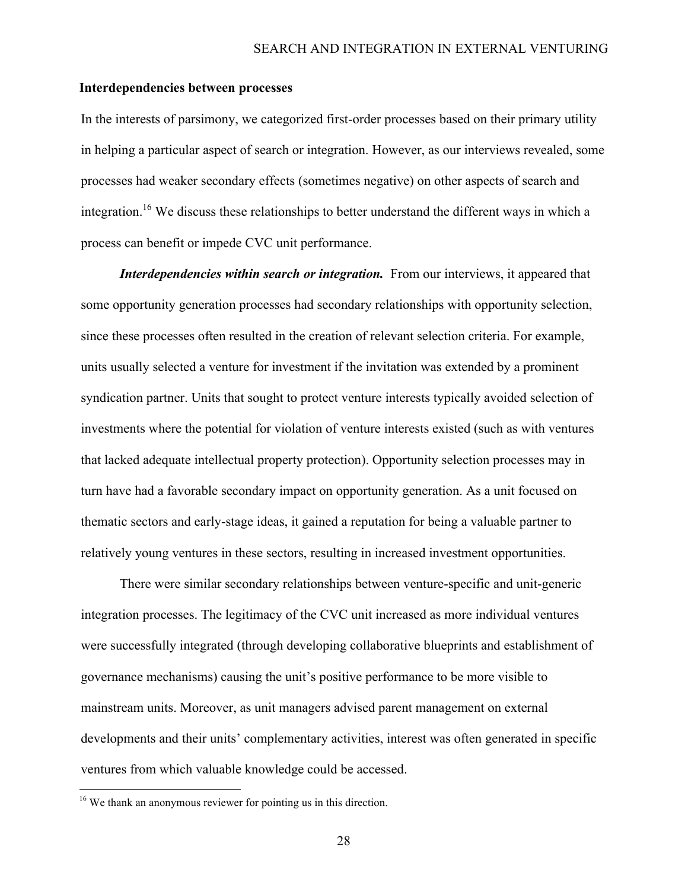#### **Interdependencies between processes**

In the interests of parsimony, we categorized first-order processes based on their primary utility in helping a particular aspect of search or integration. However, as our interviews revealed, some processes had weaker secondary effects (sometimes negative) on other aspects of search and integration.<sup>16</sup> We discuss these relationships to better understand the different ways in which a process can benefit or impede CVC unit performance.

*Interdependencies within search or integration.* From our interviews, it appeared that some opportunity generation processes had secondary relationships with opportunity selection, since these processes often resulted in the creation of relevant selection criteria. For example, units usually selected a venture for investment if the invitation was extended by a prominent syndication partner. Units that sought to protect venture interests typically avoided selection of investments where the potential for violation of venture interests existed (such as with ventures that lacked adequate intellectual property protection). Opportunity selection processes may in turn have had a favorable secondary impact on opportunity generation. As a unit focused on thematic sectors and early-stage ideas, it gained a reputation for being a valuable partner to relatively young ventures in these sectors, resulting in increased investment opportunities.

There were similar secondary relationships between venture-specific and unit-generic integration processes. The legitimacy of the CVC unit increased as more individual ventures were successfully integrated (through developing collaborative blueprints and establishment of governance mechanisms) causing the unit's positive performance to be more visible to mainstream units. Moreover, as unit managers advised parent management on external developments and their units' complementary activities, interest was often generated in specific ventures from which valuable knowledge could be accessed.

 $16$  We thank an anonymous reviewer for pointing us in this direction.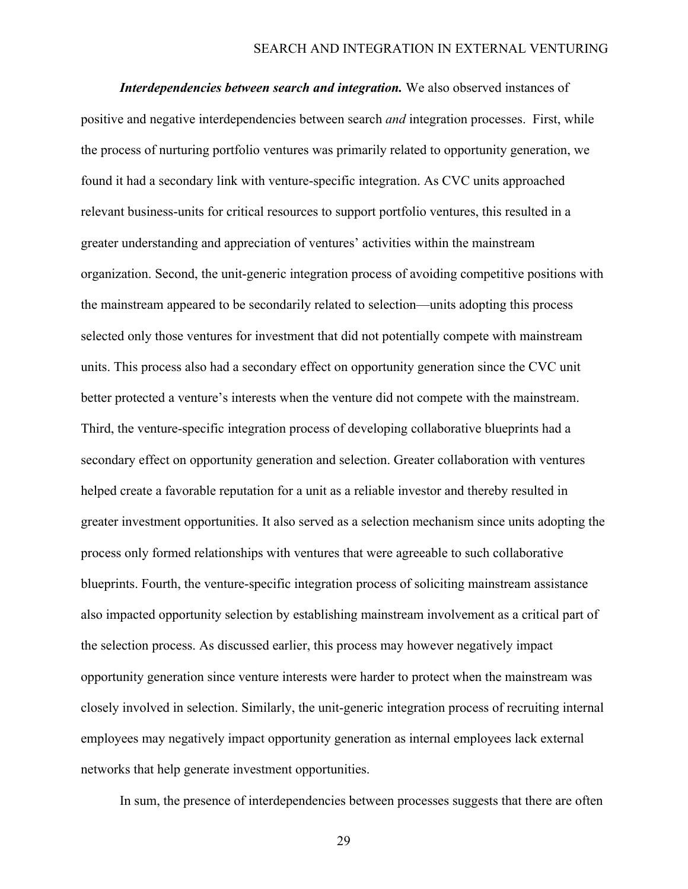*Interdependencies between search and integration.* We also observed instances of positive and negative interdependencies between search *and* integration processes. First, while the process of nurturing portfolio ventures was primarily related to opportunity generation, we found it had a secondary link with venture-specific integration. As CVC units approached relevant business-units for critical resources to support portfolio ventures, this resulted in a greater understanding and appreciation of ventures' activities within the mainstream organization. Second, the unit-generic integration process of avoiding competitive positions with the mainstream appeared to be secondarily related to selection—units adopting this process selected only those ventures for investment that did not potentially compete with mainstream units. This process also had a secondary effect on opportunity generation since the CVC unit better protected a venture's interests when the venture did not compete with the mainstream. Third, the venture-specific integration process of developing collaborative blueprints had a secondary effect on opportunity generation and selection. Greater collaboration with ventures helped create a favorable reputation for a unit as a reliable investor and thereby resulted in greater investment opportunities. It also served as a selection mechanism since units adopting the process only formed relationships with ventures that were agreeable to such collaborative blueprints. Fourth, the venture-specific integration process of soliciting mainstream assistance also impacted opportunity selection by establishing mainstream involvement as a critical part of the selection process. As discussed earlier, this process may however negatively impact opportunity generation since venture interests were harder to protect when the mainstream was closely involved in selection. Similarly, the unit-generic integration process of recruiting internal employees may negatively impact opportunity generation as internal employees lack external networks that help generate investment opportunities.

In sum, the presence of interdependencies between processes suggests that there are often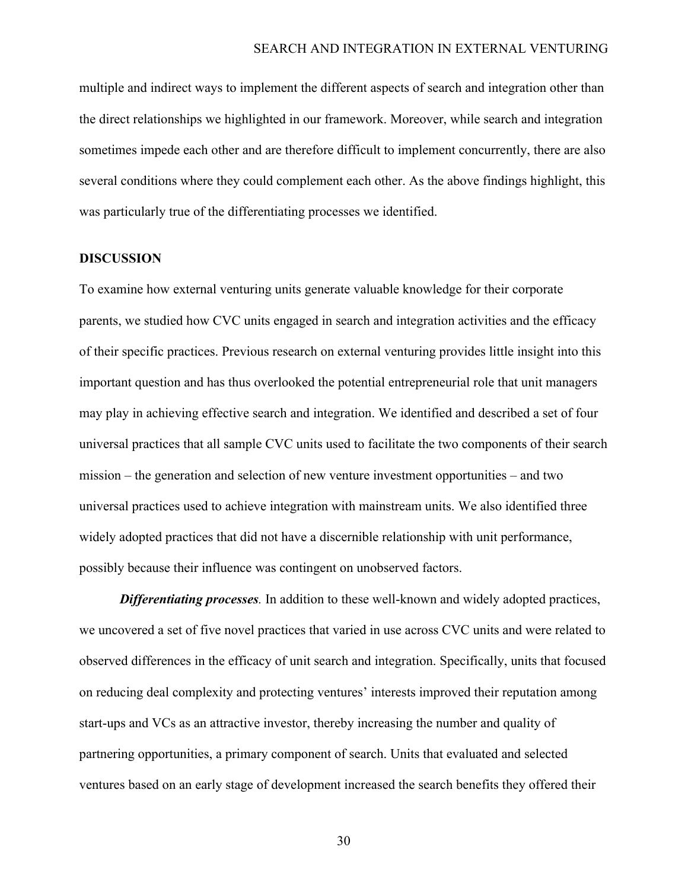multiple and indirect ways to implement the different aspects of search and integration other than the direct relationships we highlighted in our framework. Moreover, while search and integration sometimes impede each other and are therefore difficult to implement concurrently, there are also several conditions where they could complement each other. As the above findings highlight, this was particularly true of the differentiating processes we identified.

#### **DISCUSSION**

To examine how external venturing units generate valuable knowledge for their corporate parents, we studied how CVC units engaged in search and integration activities and the efficacy of their specific practices. Previous research on external venturing provides little insight into this important question and has thus overlooked the potential entrepreneurial role that unit managers may play in achieving effective search and integration. We identified and described a set of four universal practices that all sample CVC units used to facilitate the two components of their search mission – the generation and selection of new venture investment opportunities – and two universal practices used to achieve integration with mainstream units. We also identified three widely adopted practices that did not have a discernible relationship with unit performance, possibly because their influence was contingent on unobserved factors.

*Differentiating processes.* In addition to these well-known and widely adopted practices, we uncovered a set of five novel practices that varied in use across CVC units and were related to observed differences in the efficacy of unit search and integration. Specifically, units that focused on reducing deal complexity and protecting ventures' interests improved their reputation among start-ups and VCs as an attractive investor, thereby increasing the number and quality of partnering opportunities, a primary component of search. Units that evaluated and selected ventures based on an early stage of development increased the search benefits they offered their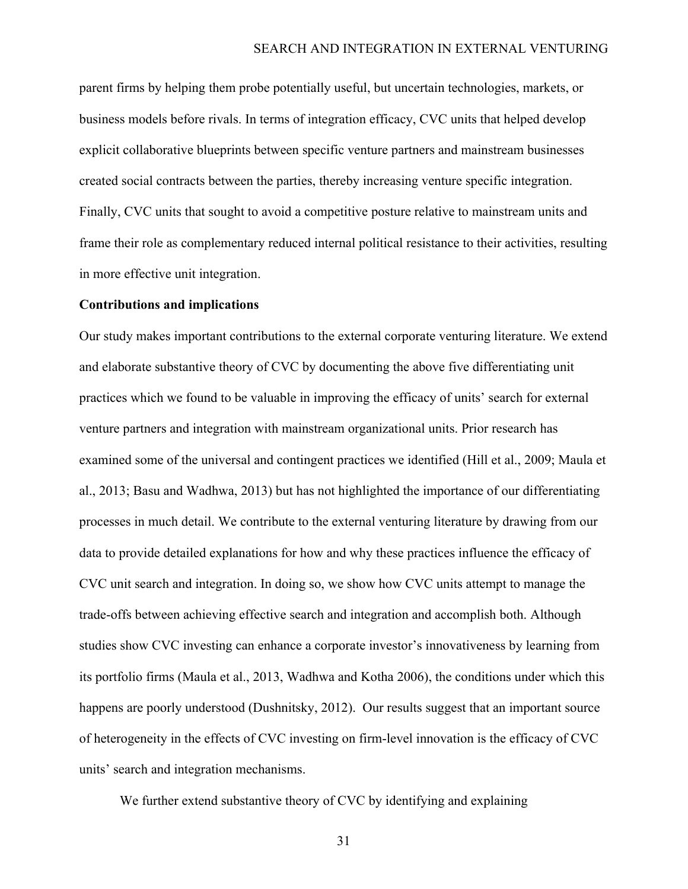parent firms by helping them probe potentially useful, but uncertain technologies, markets, or business models before rivals. In terms of integration efficacy, CVC units that helped develop explicit collaborative blueprints between specific venture partners and mainstream businesses created social contracts between the parties, thereby increasing venture specific integration. Finally, CVC units that sought to avoid a competitive posture relative to mainstream units and frame their role as complementary reduced internal political resistance to their activities, resulting in more effective unit integration.

### **Contributions and implications**

Our study makes important contributions to the external corporate venturing literature. We extend and elaborate substantive theory of CVC by documenting the above five differentiating unit practices which we found to be valuable in improving the efficacy of units' search for external venture partners and integration with mainstream organizational units. Prior research has examined some of the universal and contingent practices we identified (Hill et al., 2009; Maula et al., 2013; Basu and Wadhwa, 2013) but has not highlighted the importance of our differentiating processes in much detail. We contribute to the external venturing literature by drawing from our data to provide detailed explanations for how and why these practices influence the efficacy of CVC unit search and integration. In doing so, we show how CVC units attempt to manage the trade-offs between achieving effective search and integration and accomplish both. Although studies show CVC investing can enhance a corporate investor's innovativeness by learning from its portfolio firms (Maula et al., 2013, Wadhwa and Kotha 2006), the conditions under which this happens are poorly understood (Dushnitsky, 2012). Our results suggest that an important source of heterogeneity in the effects of CVC investing on firm-level innovation is the efficacy of CVC units' search and integration mechanisms.

We further extend substantive theory of CVC by identifying and explaining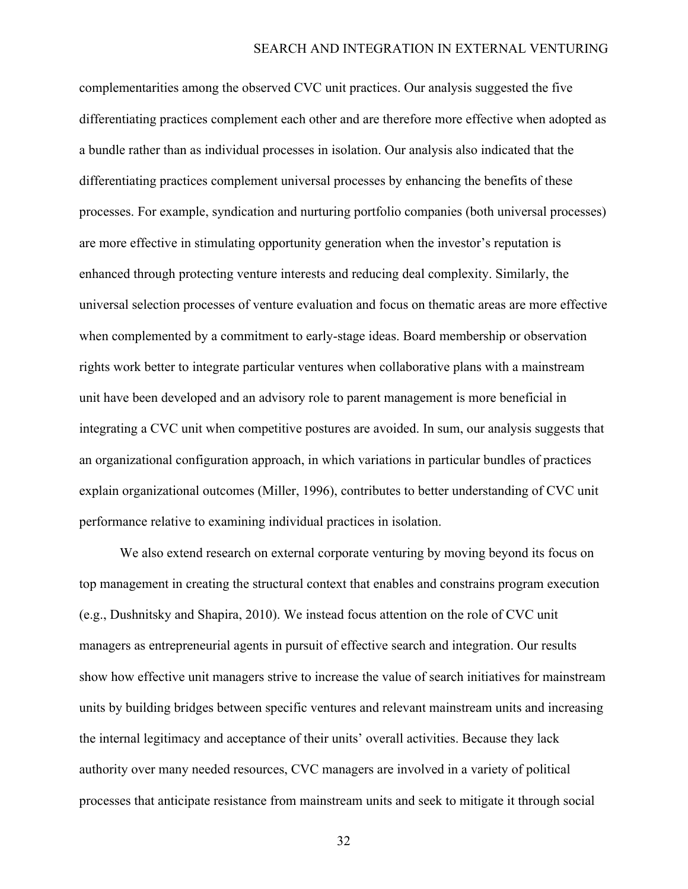complementarities among the observed CVC unit practices. Our analysis suggested the five differentiating practices complement each other and are therefore more effective when adopted as a bundle rather than as individual processes in isolation. Our analysis also indicated that the differentiating practices complement universal processes by enhancing the benefits of these processes. For example, syndication and nurturing portfolio companies (both universal processes) are more effective in stimulating opportunity generation when the investor's reputation is enhanced through protecting venture interests and reducing deal complexity. Similarly, the universal selection processes of venture evaluation and focus on thematic areas are more effective when complemented by a commitment to early-stage ideas. Board membership or observation rights work better to integrate particular ventures when collaborative plans with a mainstream unit have been developed and an advisory role to parent management is more beneficial in integrating a CVC unit when competitive postures are avoided. In sum, our analysis suggests that an organizational configuration approach, in which variations in particular bundles of practices explain organizational outcomes (Miller, 1996), contributes to better understanding of CVC unit performance relative to examining individual practices in isolation.

We also extend research on external corporate venturing by moving beyond its focus on top management in creating the structural context that enables and constrains program execution (e.g., Dushnitsky and Shapira, 2010). We instead focus attention on the role of CVC unit managers as entrepreneurial agents in pursuit of effective search and integration. Our results show how effective unit managers strive to increase the value of search initiatives for mainstream units by building bridges between specific ventures and relevant mainstream units and increasing the internal legitimacy and acceptance of their units' overall activities. Because they lack authority over many needed resources, CVC managers are involved in a variety of political processes that anticipate resistance from mainstream units and seek to mitigate it through social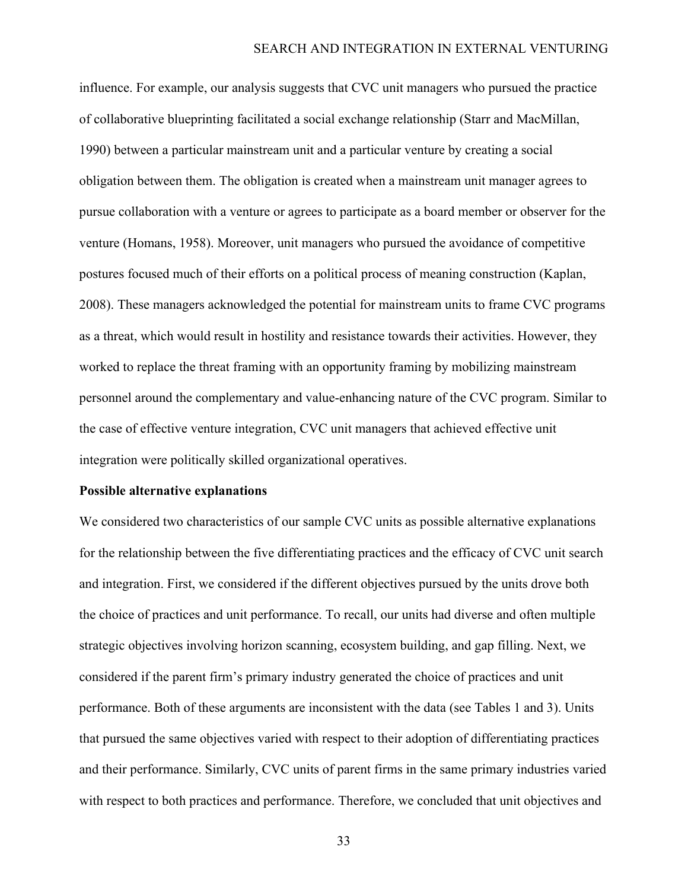influence. For example, our analysis suggests that CVC unit managers who pursued the practice of collaborative blueprinting facilitated a social exchange relationship (Starr and MacMillan, 1990) between a particular mainstream unit and a particular venture by creating a social obligation between them. The obligation is created when a mainstream unit manager agrees to pursue collaboration with a venture or agrees to participate as a board member or observer for the venture (Homans, 1958). Moreover, unit managers who pursued the avoidance of competitive postures focused much of their efforts on a political process of meaning construction (Kaplan, 2008). These managers acknowledged the potential for mainstream units to frame CVC programs as a threat, which would result in hostility and resistance towards their activities. However, they worked to replace the threat framing with an opportunity framing by mobilizing mainstream personnel around the complementary and value-enhancing nature of the CVC program. Similar to the case of effective venture integration, CVC unit managers that achieved effective unit integration were politically skilled organizational operatives.

### **Possible alternative explanations**

We considered two characteristics of our sample CVC units as possible alternative explanations for the relationship between the five differentiating practices and the efficacy of CVC unit search and integration. First, we considered if the different objectives pursued by the units drove both the choice of practices and unit performance. To recall, our units had diverse and often multiple strategic objectives involving horizon scanning, ecosystem building, and gap filling. Next, we considered if the parent firm's primary industry generated the choice of practices and unit performance. Both of these arguments are inconsistent with the data (see Tables 1 and 3). Units that pursued the same objectives varied with respect to their adoption of differentiating practices and their performance. Similarly, CVC units of parent firms in the same primary industries varied with respect to both practices and performance. Therefore, we concluded that unit objectives and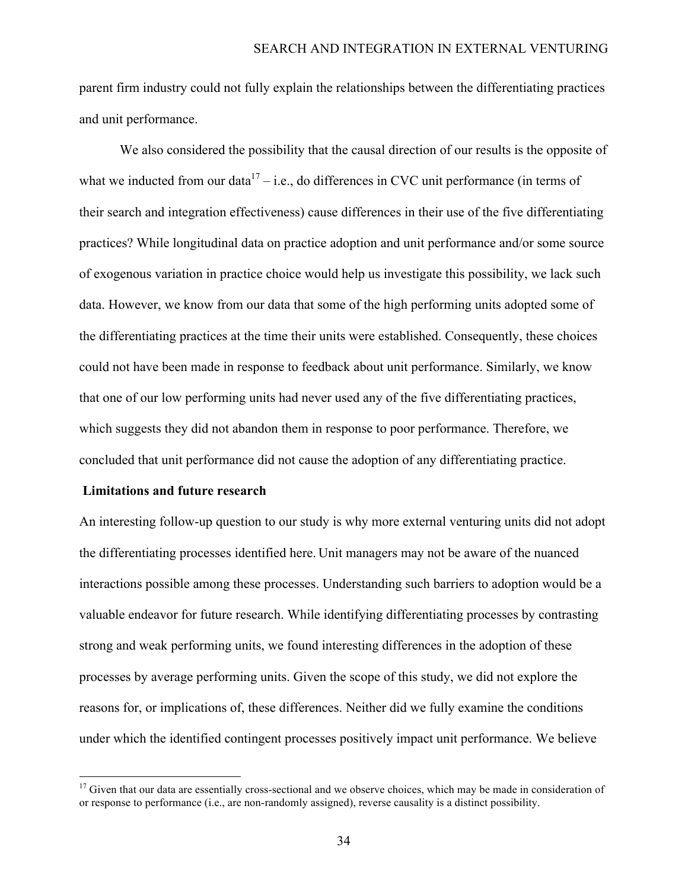parent firm industry could not fully explain the relationships between the differentiating practices and unit performance.

We also considered the possibility that the causal direction of our results is the opposite of what we inducted from our data<sup>17</sup> – i.e., do differences in CVC unit performance (in terms of their search and integration effectiveness) cause differences in their use of the five differentiating practices? While longitudinal data on practice adoption and unit performance and/or some source of exogenous variation in practice choice would help us investigate this possibility, we lack such data. However, we know from our data that some of the high performing units adopted some of the differentiating practices at the time their units were established. Consequently, these choices could not have been made in response to feedback about unit performance. Similarly, we know that one of our low performing units had never used any of the five differentiating practices, which suggests they did not abandon them in response to poor performance. Therefore, we concluded that unit performance did not cause the adoption of any differentiating practice.

## **Limitations and future research**

An interesting follow-up question to our study is why more external venturing units did not adopt the differentiating processes identified here. Unit managers may not be aware of the nuanced interactions possible among these processes. Understanding such barriers to adoption would be a valuable endeavor for future research. While identifying differentiating processes by contrasting strong and weak performing units, we found interesting differences in the adoption of these processes by average performing units. Given the scope of this study, we did not explore the reasons for, or implications of, these differences. Neither did we fully examine the conditions under which the identified contingent processes positively impact unit performance. We believe

 $17$  Given that our data are essentially cross-sectional and we observe choices, which may be made in consideration of or response to performance (i.e., are non-randomly assigned), reverse causality is a distinct possibility.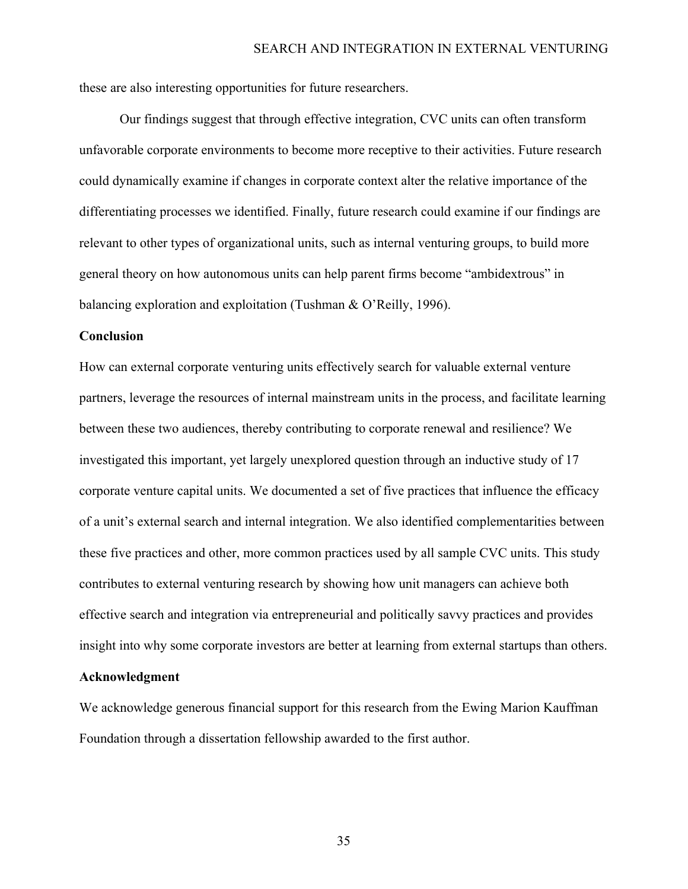these are also interesting opportunities for future researchers.

Our findings suggest that through effective integration, CVC units can often transform unfavorable corporate environments to become more receptive to their activities. Future research could dynamically examine if changes in corporate context alter the relative importance of the differentiating processes we identified. Finally, future research could examine if our findings are relevant to other types of organizational units, such as internal venturing groups, to build more general theory on how autonomous units can help parent firms become "ambidextrous" in balancing exploration and exploitation (Tushman & O'Reilly, 1996).

## **Conclusion**

How can external corporate venturing units effectively search for valuable external venture partners, leverage the resources of internal mainstream units in the process, and facilitate learning between these two audiences, thereby contributing to corporate renewal and resilience? We investigated this important, yet largely unexplored question through an inductive study of 17 corporate venture capital units. We documented a set of five practices that influence the efficacy of a unit's external search and internal integration. We also identified complementarities between these five practices and other, more common practices used by all sample CVC units. This study contributes to external venturing research by showing how unit managers can achieve both effective search and integration via entrepreneurial and politically savvy practices and provides insight into why some corporate investors are better at learning from external startups than others.

## **Acknowledgment**

We acknowledge generous financial support for this research from the Ewing Marion Kauffman Foundation through a dissertation fellowship awarded to the first author.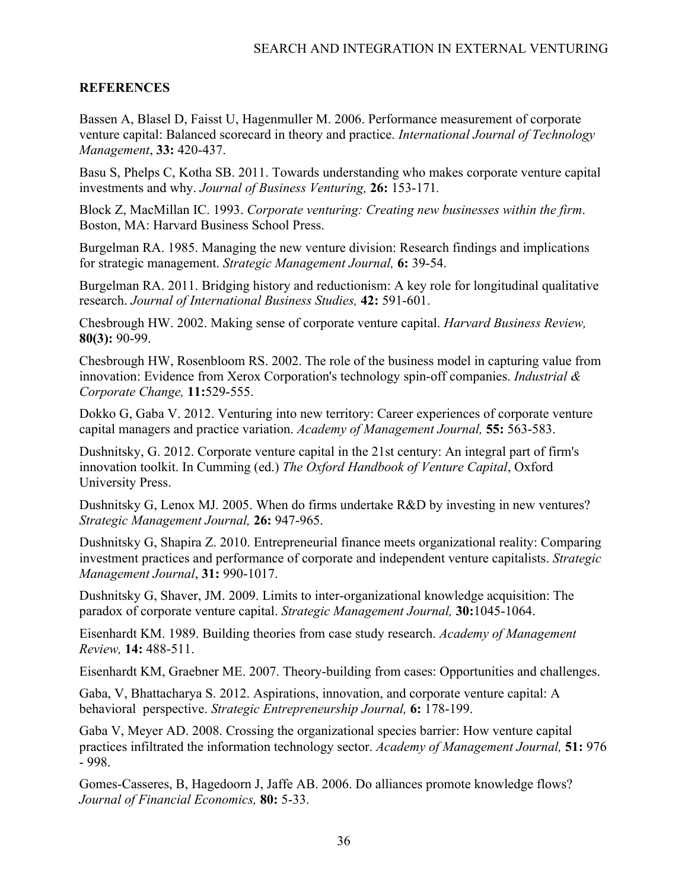## **REFERENCES**

Bassen A, Blasel D, Faisst U, Hagenmuller M. 2006. Performance measurement of corporate venture capital: Balanced scorecard in theory and practice. *International Journal of Technology Management*, **33:** 420-437.

Basu S, Phelps C, Kotha SB. 2011. Towards understanding who makes corporate venture capital investments and why. *Journal of Business Venturing,* **26:** 153-171*.*

Block Z, MacMillan IC. 1993. *Corporate venturing: Creating new businesses within the firm*. Boston, MA: Harvard Business School Press.

Burgelman RA. 1985. Managing the new venture division: Research findings and implications for strategic management. *Strategic Management Journal,* **6:** 39-54.

Burgelman RA. 2011. Bridging history and reductionism: A key role for longitudinal qualitative research. *Journal of International Business Studies,* **42:** 591-601.

Chesbrough HW. 2002. Making sense of corporate venture capital. *Harvard Business Review,*  **80(3):** 90-99.

Chesbrough HW, Rosenbloom RS. 2002. The role of the business model in capturing value from innovation: Evidence from Xerox Corporation's technology spin-off companies. *Industrial & Corporate Change,* **11:**529-555.

Dokko G, Gaba V. 2012. Venturing into new territory: Career experiences of corporate venture capital managers and practice variation. *Academy of Management Journal,* **55:** 563-583.

Dushnitsky, G. 2012. Corporate venture capital in the 21st century: An integral part of firm's innovation toolkit. In Cumming (ed.) *The Oxford Handbook of Venture Capital*, Oxford University Press.

Dushnitsky G, Lenox MJ. 2005. When do firms undertake R&D by investing in new ventures? *Strategic Management Journal,* **26:** 947-965.

Dushnitsky G, Shapira Z. 2010. Entrepreneurial finance meets organizational reality: Comparing investment practices and performance of corporate and independent venture capitalists. *Strategic Management Journal*, **31:** 990-1017.

Dushnitsky G, Shaver, JM. 2009. Limits to inter-organizational knowledge acquisition: The paradox of corporate venture capital. *Strategic Management Journal,* **30:**1045-1064.

Eisenhardt KM. 1989. Building theories from case study research. *Academy of Management Review,* **14:** 488-511.

Eisenhardt KM, Graebner ME. 2007. Theory-building from cases: Opportunities and challenges.

Gaba, V, Bhattacharya S. 2012. Aspirations, innovation, and corporate venture capital: A behavioral perspective. *Strategic Entrepreneurship Journal,* **6:** 178-199.

Gaba V, Meyer AD. 2008. Crossing the organizational species barrier: How venture capital practices infiltrated the information technology sector. *Academy of Management Journal,* **51:** 976 - 998.

Gomes-Casseres, B, Hagedoorn J, Jaffe AB. 2006. Do alliances promote knowledge flows? *Journal of Financial Economics,* **80:** 5-33.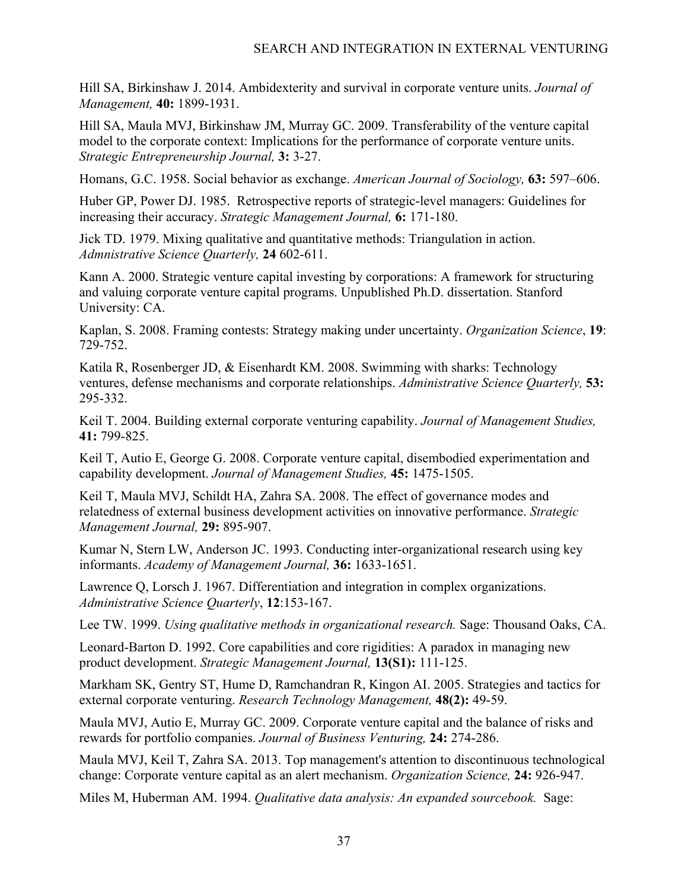Hill SA, Birkinshaw J. 2014. Ambidexterity and survival in corporate venture units. *Journal of Management,* **40:** 1899-1931.

Hill SA, Maula MVJ, Birkinshaw JM, Murray GC. 2009. Transferability of the venture capital model to the corporate context: Implications for the performance of corporate venture units. *Strategic Entrepreneurship Journal,* **3:** 3-27.

Homans, G.C. 1958. Social behavior as exchange. *American Journal of Sociology,* **63:** 597–606.

Huber GP, Power DJ. 1985. Retrospective reports of strategic-level managers: Guidelines for increasing their accuracy. *Strategic Management Journal,* **6:** 171-180.

Jick TD. 1979. Mixing qualitative and quantitative methods: Triangulation in action. *Admnistrative Science Quarterly,* **24** 602-611.

Kann A. 2000. Strategic venture capital investing by corporations: A framework for structuring and valuing corporate venture capital programs. Unpublished Ph.D. dissertation. Stanford University: CA.

Kaplan, S. 2008. Framing contests: Strategy making under uncertainty. *Organization Science*, **19**: 729-752.

Katila R, Rosenberger JD, & Eisenhardt KM. 2008. Swimming with sharks: Technology ventures, defense mechanisms and corporate relationships. *Administrative Science Quarterly,* **53:** 295-332.

Keil T. 2004. Building external corporate venturing capability. *Journal of Management Studies,*  **41:** 799-825.

Keil T, Autio E, George G. 2008. Corporate venture capital, disembodied experimentation and capability development. *Journal of Management Studies,* **45:** 1475-1505.

Keil T, Maula MVJ, Schildt HA, Zahra SA. 2008. The effect of governance modes and relatedness of external business development activities on innovative performance. *Strategic Management Journal,* **29:** 895-907.

Kumar N, Stern LW, Anderson JC. 1993. Conducting inter-organizational research using key informants. *Academy of Management Journal,* **36:** 1633-1651.

Lawrence Q, Lorsch J. 1967. Differentiation and integration in complex organizations. *Administrative Science Quarterly*, **12**:153-167.

Lee TW. 1999. *Using qualitative methods in organizational research.* Sage: Thousand Oaks, CA.

Leonard-Barton D. 1992. Core capabilities and core rigidities: A paradox in managing new product development. *Strategic Management Journal,* **13(S1):** 111-125.

Markham SK, Gentry ST, Hume D, Ramchandran R, Kingon AI. 2005. Strategies and tactics for external corporate venturing. *Research Technology Management,* **48(2):** 49-59.

Maula MVJ, Autio E, Murray GC. 2009. Corporate venture capital and the balance of risks and rewards for portfolio companies. *Journal of Business Venturing,* **24:** 274-286.

Maula MVJ, Keil T, Zahra SA. 2013. Top management's attention to discontinuous technological change: Corporate venture capital as an alert mechanism. *Organization Science,* **24:** 926-947.

Miles M, Huberman AM. 1994. *Qualitative data analysis: An expanded sourcebook.* Sage: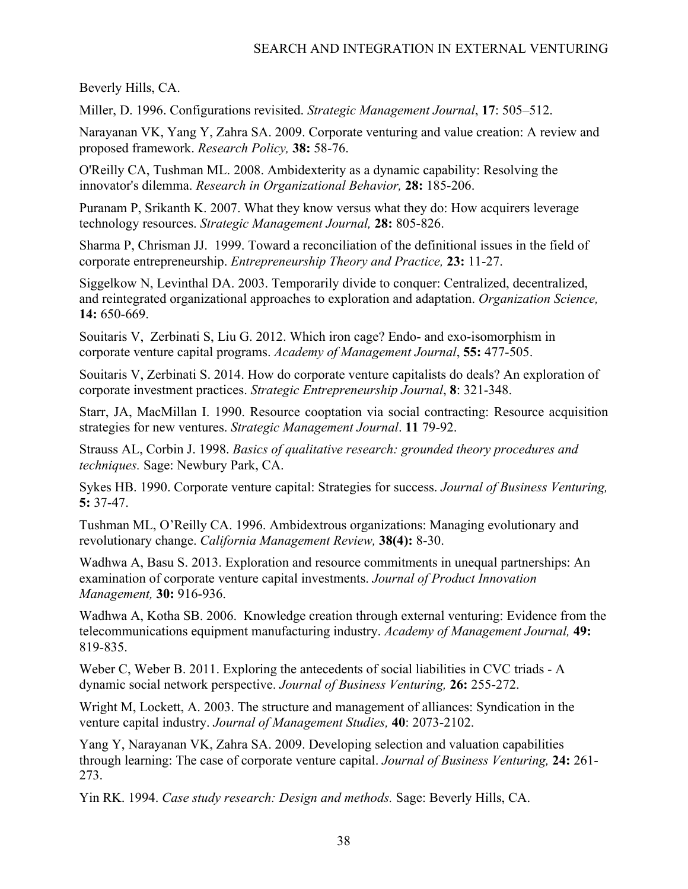Beverly Hills, CA.

Miller, D. 1996. Configurations revisited. *Strategic Management Journal*, **17**: 505–512.

Narayanan VK, Yang Y, Zahra SA. 2009. Corporate venturing and value creation: A review and proposed framework. *Research Policy,* **38:** 58-76.

O'Reilly CA, Tushman ML. 2008. Ambidexterity as a dynamic capability: Resolving the innovator's dilemma. *Research in Organizational Behavior,* **28:** 185-206.

Puranam P, Srikanth K. 2007. What they know versus what they do: How acquirers leverage technology resources. *Strategic Management Journal,* **28:** 805-826.

Sharma P, Chrisman JJ. 1999. Toward a reconciliation of the definitional issues in the field of corporate entrepreneurship. *Entrepreneurship Theory and Practice,* **23:** 11-27.

Siggelkow N, Levinthal DA. 2003. Temporarily divide to conquer: Centralized, decentralized, and reintegrated organizational approaches to exploration and adaptation. *Organization Science,*  **14:** 650-669.

Souitaris V, Zerbinati S, Liu G. 2012. Which iron cage? Endo- and exo-isomorphism in corporate venture capital programs. *Academy of Management Journal*, **55:** 477-505.

Souitaris V, Zerbinati S. 2014. How do corporate venture capitalists do deals? An exploration of corporate investment practices. *Strategic Entrepreneurship Journal*, **8**: 321-348.

Starr, JA, MacMillan I. 1990. Resource cooptation via social contracting: Resource acquisition strategies for new ventures. *Strategic Management Journal*. **11** 79-92.

Strauss AL, Corbin J. 1998. *Basics of qualitative research: grounded theory procedures and techniques.* Sage: Newbury Park, CA.

Sykes HB. 1990. Corporate venture capital: Strategies for success. *Journal of Business Venturing,*  **5:** 37-47.

Tushman ML, O'Reilly CA. 1996. Ambidextrous organizations: Managing evolutionary and revolutionary change. *California Management Review,* **38(4):** 8-30.

Wadhwa A, Basu S. 2013. Exploration and resource commitments in unequal partnerships: An examination of corporate venture capital investments. *Journal of Product Innovation Management,* **30:** 916-936.

Wadhwa A, Kotha SB. 2006. Knowledge creation through external venturing: Evidence from the telecommunications equipment manufacturing industry. *Academy of Management Journal,* **49:** 819-835.

Weber C, Weber B. 2011. Exploring the antecedents of social liabilities in CVC triads - A dynamic social network perspective. *Journal of Business Venturing,* **26:** 255-272.

Wright M, Lockett, A. 2003. The structure and management of alliances: Syndication in the venture capital industry. *Journal of Management Studies,* **40**: 2073-2102.

Yang Y, Narayanan VK, Zahra SA. 2009. Developing selection and valuation capabilities through learning: The case of corporate venture capital. *Journal of Business Venturing,* **24:** 261- 273.

Yin RK. 1994. *Case study research: Design and methods.* Sage: Beverly Hills, CA.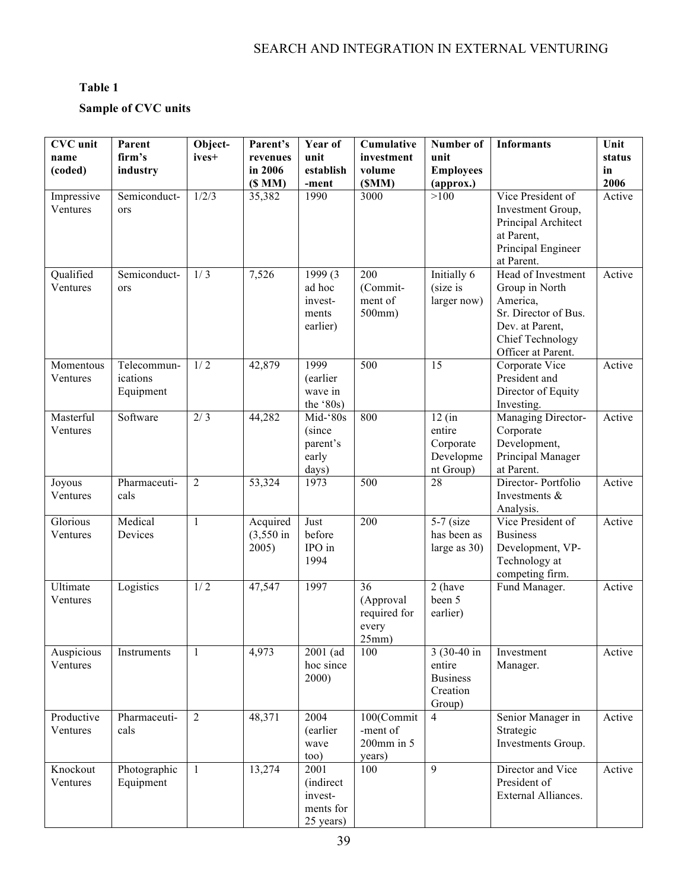## **Table 1**

## **Sample of CVC units**

| <b>CVC</b> unit<br>name<br>(coded) | Parent<br>firm's<br>industry         | Object-<br>ives+ | Parent's<br>revenues<br>in 2006<br>(SMM) | Year of<br>unit<br>establish<br>-ment                  | Cumulative<br>investment<br>volume<br>(SMM)       | Number of<br>unit<br><b>Employees</b><br>(approx.)             | <b>Informants</b>                                                                                                                            | Unit<br>status<br>in<br>2006 |
|------------------------------------|--------------------------------------|------------------|------------------------------------------|--------------------------------------------------------|---------------------------------------------------|----------------------------------------------------------------|----------------------------------------------------------------------------------------------------------------------------------------------|------------------------------|
| Impressive<br>Ventures             | Semiconduct-<br>ors                  | 1/2/3            | 35,382                                   | 1990                                                   | 3000                                              | >100                                                           | Vice President of<br>Investment Group,<br>Principal Architect<br>at Parent,<br>Principal Engineer<br>at Parent.                              | Active                       |
| Qualified<br>Ventures              | Semiconduct-<br>ors                  | 1/3              | 7,526                                    | 1999 (3<br>ad hoc<br>invest-<br>ments<br>earlier)      | 200<br>(Commit-<br>ment of<br>500mm)              | Initially 6<br>(size is<br>larger now)                         | Head of Investment<br>Group in North<br>America,<br>Sr. Director of Bus.<br>Dev. at Parent,<br><b>Chief Technology</b><br>Officer at Parent. | Active                       |
| Momentous<br>Ventures              | Telecommun-<br>ications<br>Equipment | 1/2              | 42,879                                   | 1999<br>(earlier<br>wave in<br>the $(80s)$             | 500                                               | 15                                                             | Corporate Vice<br>President and<br>Director of Equity<br>Investing.                                                                          | Active                       |
| Masterful<br>Ventures              | Software                             | 2/3              | 44,282                                   | Mid-'80s<br>(since<br>parent's<br>early<br>days)       | 800                                               | $12$ (in<br>entire<br>Corporate<br>Developme<br>nt Group)      | Managing Director-<br>Corporate<br>Development,<br>Principal Manager<br>at Parent.                                                           | Active                       |
| Joyous<br>Ventures                 | Pharmaceuti-<br>cals                 | $\overline{2}$   | 53,324                                   | 1973                                                   | 500                                               | 28                                                             | Director-Portfolio<br>Investments &<br>Analysis.                                                                                             | Active                       |
| Glorious<br>Ventures               | Medical<br>Devices                   | 1                | Acquired<br>$(3,550)$ in<br>2005)        | Just<br>before<br>IPO in<br>1994                       | 200                                               | $5-7$ (size<br>has been as<br>large as 30)                     | Vice President of<br><b>Business</b><br>Development, VP-<br>Technology at<br>competing firm.                                                 | Active                       |
| Ultimate<br>Ventures               | Logistics                            | 1/2              | 47,547                                   | 1997                                                   | 36<br>(Approval<br>required for<br>every<br>25mm) | 2 (have<br>been 5<br>earlier)                                  | Fund Manager.                                                                                                                                | Active                       |
| Auspicious<br>Ventures             | Instruments                          | 1                | 4,973                                    | $\overline{2}001$ (ad<br>hoc since<br>2000)            | 100                                               | 3 (30-40 in<br>entire<br><b>Business</b><br>Creation<br>Group) | Investment<br>Manager.                                                                                                                       | Active                       |
| Productive<br>Ventures             | Pharmaceuti-<br>cals                 | 2                | 48,371                                   | 2004<br>(earlier<br>wave<br>too)                       | 100(Commit<br>-ment of<br>200mm in 5<br>years)    | 4                                                              | Senior Manager in<br>Strategic<br>Investments Group.                                                                                         | Active                       |
| Knockout<br>Ventures               | Photographic<br>Equipment            | 1                | 13,274                                   | 2001<br>(indirect<br>invest-<br>ments for<br>25 years) | 100                                               | $\overline{9}$                                                 | Director and Vice<br>President of<br>External Alliances.                                                                                     | Active                       |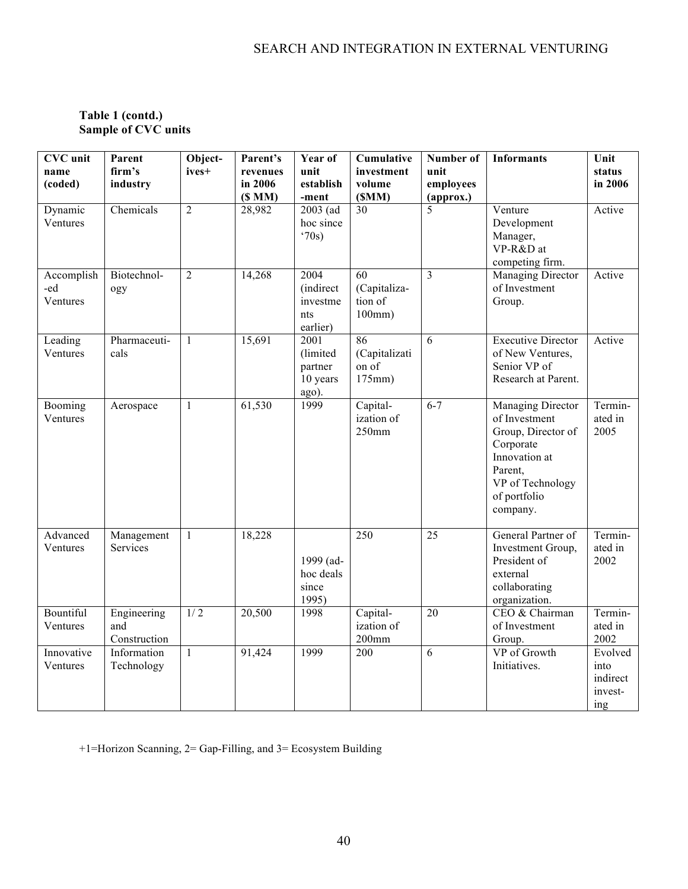## **Table 1 (contd.) Sample of CVC units**

| <b>CVC</b> unit<br>name<br>(coded) | Parent<br>firm's<br>industry       | Object-<br>ives+ | Parent's<br>revenues<br>in 2006<br>(SMM) | Year of<br>unit<br>establish<br>-ment            | Cumulative<br>investment<br>volume<br>(SMM)          | Number of<br>unit<br>employees<br>(approx.) | <b>Informants</b>                                                                                                                                 | Unit<br>status<br>in 2006                     |
|------------------------------------|------------------------------------|------------------|------------------------------------------|--------------------------------------------------|------------------------------------------------------|---------------------------------------------|---------------------------------------------------------------------------------------------------------------------------------------------------|-----------------------------------------------|
| Dynamic<br>Ventures                | Chemicals                          | $\overline{2}$   | 28,982                                   | 2003 (ad<br>hoc since<br>'70s)                   | 30                                                   | 5                                           | Venture<br>Development<br>Manager,<br>VP-R&D at<br>competing firm.                                                                                | Active                                        |
| Accomplish<br>-ed<br>Ventures      | Biotechnol-<br>ogy                 | $\overline{2}$   | 14,268                                   | 2004<br>(indirect<br>investme<br>nts<br>earlier) | $\overline{60}$<br>(Capitaliza-<br>tion of<br>100mm) | $\overline{3}$                              | Managing Director<br>of Investment<br>Group.                                                                                                      | Active                                        |
| Leading<br>Ventures                | Pharmaceuti-<br>cals               | $\mathbf{1}$     | 15,691                                   | 2001<br>(limited<br>partner<br>10 years<br>ago). | 86<br>(Capitalizati<br>on of<br>$175$ mm $)$         | $\overline{6}$                              | <b>Executive Director</b><br>of New Ventures,<br>Senior VP of<br>Research at Parent.                                                              | Active                                        |
| Booming<br>Ventures                | Aerospace                          | $\mathbf{1}$     | 61,530                                   | 1999                                             | Capital-<br>ization of<br>250mm                      | $6 - 7$                                     | Managing Director<br>of Investment<br>Group, Director of<br>Corporate<br>Innovation at<br>Parent,<br>VP of Technology<br>of portfolio<br>company. | Termin-<br>ated in<br>2005                    |
| Advanced<br>Ventures               | Management<br>Services             | $\mathbf{1}$     | 18,228                                   | 1999 (ad-<br>hoc deals<br>since<br>1995)         | 250                                                  | 25                                          | General Partner of<br>Investment Group,<br>President of<br>external<br>collaborating<br>organization.                                             | Termin-<br>ated in<br>2002                    |
| Bountiful<br>Ventures              | Engineering<br>and<br>Construction | $\overline{1/2}$ | 20,500                                   | 1998                                             | Capital-<br>ization of<br>$200$ mm                   | 20                                          | CEO & Chairman<br>of Investment<br>Group.                                                                                                         | Termin-<br>ated in<br>2002                    |
| Innovative<br>Ventures             | Information<br>Technology          | $\overline{1}$   | 91,424                                   | 1999                                             | 200                                                  | $\overline{6}$                              | VP of Growth<br>Initiatives.                                                                                                                      | Evolved<br>into<br>indirect<br>invest-<br>ing |

+1=Horizon Scanning, 2= Gap-Filling, and 3= Ecosystem Building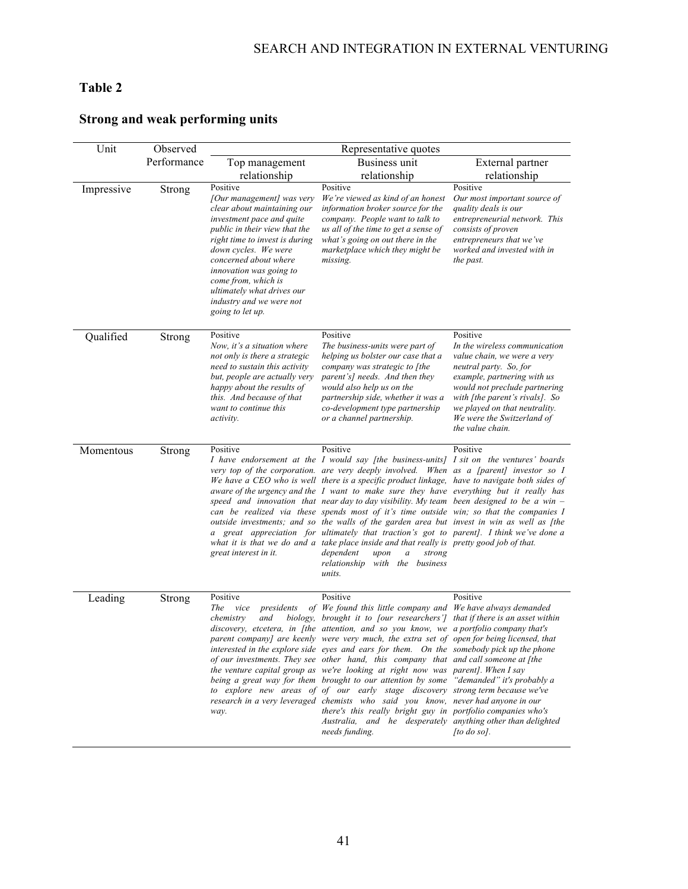# **Table 2**

| Unit       | Observed      | Representative quotes                                                                                                                                                                                                                                                                                                                                        |                                                                                                                                                                                                                                                                                                                                                                                                                                                                                                                                                                                                                                                                                                                                                                                                                                                                                                                                                                                                                                    |                                                                                                                                                                                                                                            |  |  |  |
|------------|---------------|--------------------------------------------------------------------------------------------------------------------------------------------------------------------------------------------------------------------------------------------------------------------------------------------------------------------------------------------------------------|------------------------------------------------------------------------------------------------------------------------------------------------------------------------------------------------------------------------------------------------------------------------------------------------------------------------------------------------------------------------------------------------------------------------------------------------------------------------------------------------------------------------------------------------------------------------------------------------------------------------------------------------------------------------------------------------------------------------------------------------------------------------------------------------------------------------------------------------------------------------------------------------------------------------------------------------------------------------------------------------------------------------------------|--------------------------------------------------------------------------------------------------------------------------------------------------------------------------------------------------------------------------------------------|--|--|--|
|            | Performance   | Top management                                                                                                                                                                                                                                                                                                                                               | Business unit                                                                                                                                                                                                                                                                                                                                                                                                                                                                                                                                                                                                                                                                                                                                                                                                                                                                                                                                                                                                                      | External partner                                                                                                                                                                                                                           |  |  |  |
|            |               | relationship                                                                                                                                                                                                                                                                                                                                                 | relationship                                                                                                                                                                                                                                                                                                                                                                                                                                                                                                                                                                                                                                                                                                                                                                                                                                                                                                                                                                                                                       | relationship                                                                                                                                                                                                                               |  |  |  |
| Impressive | Strong        | Positive<br>[Our management] was very<br>clear about maintaining our<br>investment pace and quite<br><i>public in their view that the</i><br>right time to invest is during<br>down cycles. We were<br>concerned about where<br>innovation was going to<br>come from, which is<br>ultimately what drives our<br>industry and we were not<br>going to let up. | Positive<br>We're viewed as kind of an honest<br>information broker source for the<br>company. People want to talk to<br>us all of the time to get a sense of<br>what's going on out there in the<br>marketplace which they might be<br>missing.                                                                                                                                                                                                                                                                                                                                                                                                                                                                                                                                                                                                                                                                                                                                                                                   | Positive<br>Our most important source of<br>quality deals is our<br>entrepreneurial network. This<br>consists of proven<br>entrepreneurs that we've<br>worked and invested with in<br>the past.                                            |  |  |  |
| Qualified  | Strong        | Positive                                                                                                                                                                                                                                                                                                                                                     | Positive                                                                                                                                                                                                                                                                                                                                                                                                                                                                                                                                                                                                                                                                                                                                                                                                                                                                                                                                                                                                                           | Positive<br>In the wireless communication                                                                                                                                                                                                  |  |  |  |
|            |               | Now, it's a situation where<br>not only is there a strategic<br>need to sustain this activity<br>but, people are actually very<br>happy about the results of<br>this. And because of that<br>want to continue this<br><i>activity.</i>                                                                                                                       | The business-units were part of<br>helping us bolster our case that a<br>company was strategic to [the<br>parent's] needs. And then they<br>would also help us on the<br>partnership side, whether it was a<br>co-development type partnership<br>or a channel partnership.                                                                                                                                                                                                                                                                                                                                                                                                                                                                                                                                                                                                                                                                                                                                                        | value chain, we were a very<br>neutral party. So, for<br>example, partnering with us<br>would not preclude partnering<br>with [the parent's rivals]. So<br>we played on that neutrality.<br>We were the Switzerland of<br>the value chain. |  |  |  |
| Momentous  | <b>Strong</b> | Positive<br>great interest in it.                                                                                                                                                                                                                                                                                                                            | Positive<br>I have endorsement at the I would say [the business-units] I sit on the ventures' boards<br>very top of the corporation. are very deeply involved. When as a [parent] investor so I<br>We have a CEO who is well there is a specific product linkage, have to navigate both sides of<br>aware of the urgency and the I want to make sure they have everything but it really has<br>speed and innovation that near day to day visibility. My team been designed to be a win $-$<br>can be realized via these spends most of it's time outside win; so that the companies I<br>outside investments; and so the walls of the garden area but invest in win as well as [the<br>a great appreciation for ultimately that traction's got to parent]. I think we've done a<br>what it is that we do and a take place inside and that really is pretty good job of that.<br>dependent<br>upon<br>$\boldsymbol{a}$<br>strong<br>relationship<br>with the business<br>units.                                                     | Positive                                                                                                                                                                                                                                   |  |  |  |
| Leading    | Strong        | Positive<br><i>The</i><br>vice<br>presidents<br>chemistry<br>and<br>way.                                                                                                                                                                                                                                                                                     | Positive<br>of We found this little company and We have always demanded<br>biology, brought it to [our researchers'] that if there is an asset within<br>discovery, etcetera, in [the attention, and so you know, we a portfolio company that's<br>parent company] are keenly were very much, the extra set of open for being licensed, that<br>interested in the explore side eyes and ears for them. On the somebody pick up the phone<br>of our investments. They see other hand, this company that and call someone at [the<br>the venture capital group as we're looking at right now was parent]. When I say<br>being a great way for them brought to our attention by some "demanded" it's probably a<br>to explore new areas of of our early stage discovery strong term because we've<br>research in a very leveraged chemists who said you know, never had anyone in our<br>there's this really bright guy in portfolio companies who's<br>Australia, and he desperately anything other than delighted<br>needs funding. | Positive<br>[to do so].                                                                                                                                                                                                                    |  |  |  |

# **Strong and weak performing units**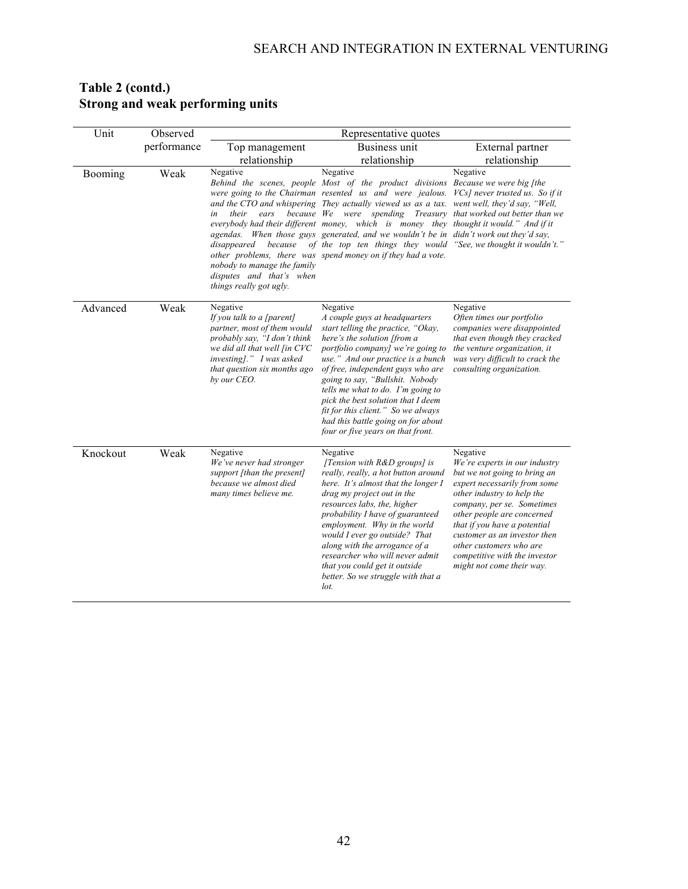| Unit     | Observed    | Representative quotes                                                                                                                                                                                           |                                                                                                                                                                                                                                                                                                                                                                                                                                                                                                                                                                                                                                                                                 |                                                                                                                                                                                                                                                                                                                                                              |  |  |  |
|----------|-------------|-----------------------------------------------------------------------------------------------------------------------------------------------------------------------------------------------------------------|---------------------------------------------------------------------------------------------------------------------------------------------------------------------------------------------------------------------------------------------------------------------------------------------------------------------------------------------------------------------------------------------------------------------------------------------------------------------------------------------------------------------------------------------------------------------------------------------------------------------------------------------------------------------------------|--------------------------------------------------------------------------------------------------------------------------------------------------------------------------------------------------------------------------------------------------------------------------------------------------------------------------------------------------------------|--|--|--|
|          | performance | Top management                                                                                                                                                                                                  | Business unit                                                                                                                                                                                                                                                                                                                                                                                                                                                                                                                                                                                                                                                                   | External partner                                                                                                                                                                                                                                                                                                                                             |  |  |  |
|          |             | relationship                                                                                                                                                                                                    | relationship                                                                                                                                                                                                                                                                                                                                                                                                                                                                                                                                                                                                                                                                    | relationship                                                                                                                                                                                                                                                                                                                                                 |  |  |  |
| Booming  | Weak        | Negative<br>their<br>ears<br>in<br>disappeared<br>because<br>nobody to manage the family<br>disputes and that's when<br>things really got ugly.                                                                 | Negative<br>Behind the scenes, people Most of the product divisions Because we were big [the<br>were going to the Chairman resented us and were jealous. VCs] never trusted us. So if it<br>and the CTO and whispering They actually viewed us as a tax. went well, they'd say, "Well,<br>because We were spending Treasury that worked out better than we<br>everybody had their different money, which is money they thought it would." And if it<br>agendas. When those guys generated, and we wouldn't be in didn't work out they'd say,<br>of the top ten things they would "See, we thought it wouldn't."<br>other problems, there was spend money on if they had a vote. | Negative                                                                                                                                                                                                                                                                                                                                                     |  |  |  |
| Advanced | Weak        | Negative<br>If you talk to a [parent]<br>partner, most of them would<br>probably say, "I don't think<br>we did all that well [in CVC<br>investing]." I was asked<br>that question six months ago<br>by our CEO. | Negative<br>A couple guys at headquarters<br>start telling the practice, "Okay,<br>here's the solution [from a<br>portfolio company] we're going to<br>use." And our practice is a bunch<br>of free, independent guys who are<br>going to say, "Bullshit. Nobody<br>tells me what to do. I'm going to<br>pick the best solution that I deem<br>fit for this client." So we always<br>had this battle going on for about<br>four or five years on that front.                                                                                                                                                                                                                    | Negative<br>Often times our portfolio<br>companies were disappointed<br>that even though they cracked<br>the venture organization, it<br>was very difficult to crack the<br>consulting organization.                                                                                                                                                         |  |  |  |
| Knockout | Weak        | Negative<br>We've never had stronger<br>support [than the present]<br>because we almost died<br>many times believe me.                                                                                          | Negative<br>[Tension with R&D groups] is<br>really, really, a hot button around<br>here. It's almost that the longer I<br>drag my project out in the<br>resources labs, the, higher<br>probability I have of guaranteed<br>employment. Why in the world<br>would I ever go outside? That<br>along with the arrogance of a<br>researcher who will never admit<br>that you could get it outside<br>better. So we struggle with that a<br>lot.                                                                                                                                                                                                                                     | Negative<br>We're experts in our industry<br>but we not going to bring an<br>expert necessarily from some<br>other industry to help the<br>company, per se. Sometimes<br>other people are concerned<br>that if you have a potential<br>customer as an investor then<br>other customers who are<br>competitive with the investor<br>might not come their way. |  |  |  |

## **Table 2 (contd.) Strong and weak performing units**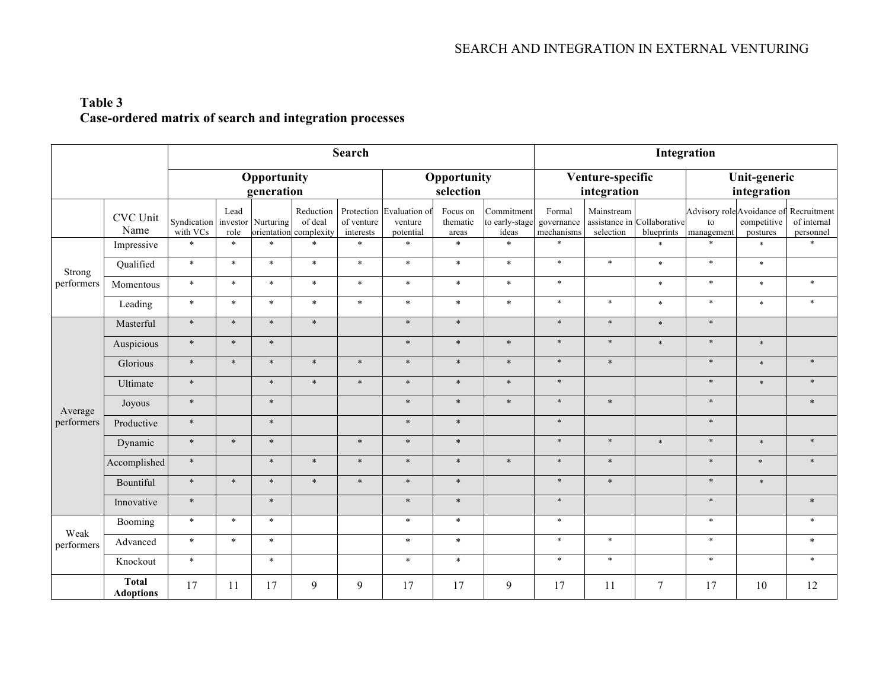# **Table 3 Case-ordered matrix of search and integration processes**

|                    |                                  | <b>Search</b>                              |                           |        |                                                |                         |                                                  |                               |                                       | Integration                        |                                                        |            |                             |                                                                   |                          |
|--------------------|----------------------------------|--------------------------------------------|---------------------------|--------|------------------------------------------------|-------------------------|--------------------------------------------------|-------------------------------|---------------------------------------|------------------------------------|--------------------------------------------------------|------------|-----------------------------|-------------------------------------------------------------------|--------------------------|
|                    |                                  |                                            | Opportunity<br>generation |        |                                                |                         | Opportunity<br>selection                         |                               |                                       | Venture-specific<br>integration    |                                                        |            | Unit-generic<br>integration |                                                                   |                          |
|                    | <b>CVC</b> Unit<br>Name          | Syndication investor Nurturing<br>with VCs | Lead<br>role              |        | Reduction<br>of deal<br>orientation complexity | of venture<br>interests | Protection Evaluation of<br>venture<br>potential | Focus on<br>thematic<br>areas | Commitment<br>to early-stage<br>ideas | Formal<br>governance<br>mechanisms | Mainstream<br>assistance in Collaborative<br>selection | blueprints | to<br>management            | Advisory role Avoidance of Recruitment<br>competitive<br>postures | of internal<br>personnel |
| Strong             | Impressive                       | $\ast$                                     | $\ast$                    | $\ast$ | $\ast$                                         | $\ast$                  | $\ast$                                           | $\ast$                        | $\ast$                                | $\ast$                             |                                                        | $\ast$     | $\ast$                      | $\ast$                                                            | $\ast$                   |
|                    | Qualified                        | $\ast$                                     | $\ast$                    | $\ast$ | $\ast$                                         | $\ast$                  | $\ast$                                           | $\ast$                        | $\ast$                                | $\ast$                             | $\ast$                                                 | $\ast$     | $\ast$                      | $\ast$                                                            |                          |
| performers         | Momentous                        | $\ast$                                     | $\ast$                    | $\ast$ | $\ast$                                         | $\ast$                  | $\ast$                                           | $\ast$                        | $\ast$                                | $\ast$                             |                                                        | $\ast$     | $\ast$                      | $\ast$                                                            | $\ast$                   |
|                    | Leading                          | $\ast$                                     | $\ast$                    | $\ast$ | $\ast$                                         | $\ast$                  | $\ast$                                           | $\ast$                        | $\ast$                                | $\ast$                             | $\ast$                                                 | $\ast$     | $\ast$                      | $\ast$                                                            | $\ast$                   |
|                    | Masterful                        | $\ast$                                     | $\ast$                    | $\ast$ | $\ast$                                         |                         | $\ast$                                           | $\ast$                        |                                       | $\ast$                             | $\ast$                                                 | $\ast$     | $\ast$                      |                                                                   |                          |
|                    | Auspicious                       | $\ast$                                     | $\ast$                    | $\ast$ |                                                |                         | $\ast$                                           | $\ast$                        | $\ast$                                | $\ast$                             | $\ast$                                                 | $\ast$     | $\ast$                      | $\ast$                                                            |                          |
|                    | Glorious                         | $\ast$                                     | $\ast$                    | $\ast$ | $\ast$                                         | $\ast$                  | $\ast$                                           | $\ast$                        | $\ast$                                | $\ast$                             | $\ast$                                                 |            | $\ast$                      | $\ast$                                                            | $\ast$                   |
|                    | Ultimate                         | $\ast$                                     |                           | $\ast$ | $\ast$                                         | $\ast$                  | $\ast$                                           | $\ast$                        | $\ast$                                | $\ast$                             |                                                        |            | $\ast$                      | $\ast$                                                            | $\ast$                   |
| Average            | Joyous                           | $\ast$                                     |                           | $\ast$ |                                                |                         | $\ast$                                           | $\ast$                        | $\ast$                                | $\ast$                             | $\ast$                                                 |            | $\ast$                      |                                                                   | $\ast$                   |
| performers         | Productive                       | $\ast$                                     |                           | $\ast$ |                                                |                         | $\ast$                                           | $\ast$                        |                                       | $\ast$                             |                                                        |            | $\ast$                      |                                                                   |                          |
|                    | Dynamic                          | $\ast$                                     | $\ast$                    | $\ast$ |                                                | $\ast$                  | $\ast$                                           | $\ast$                        |                                       | $\ast$                             | $\ast$                                                 | $\ast$     | $\ast$                      | $\ast$                                                            | $\ast$                   |
|                    | Accomplished                     | $\ast$                                     |                           | $\ast$ | $\ast$                                         | $\ast$                  | $\ast$                                           | $\ast$                        | $\ast$                                | $\ast$                             | $\ast$                                                 |            | $\ast$                      | $\ast$                                                            | $\ast$                   |
|                    | Bountiful                        | $\ast$                                     | $\ast$                    | $\ast$ | $\ast$                                         | $\ast$                  | $\ast$                                           | $\ast$                        |                                       | $\ast$                             | $\ast$                                                 |            | $\ast$                      | $\ast$                                                            |                          |
|                    | Innovative                       | $\ast$                                     |                           | $\ast$ |                                                |                         | $\ast$                                           | $\ast$                        |                                       | $\ast$                             |                                                        |            | $\ast$                      |                                                                   | $\ast$                   |
|                    | Booming                          | $\ast$                                     | $\ast$                    | $\ast$ |                                                |                         | $\ast$                                           | $\ast$                        |                                       | $\ast$                             |                                                        |            | $\ast$                      |                                                                   | $\ast$                   |
| Weak<br>performers | Advanced                         | $\ast$                                     | $\ast$                    | $\ast$ |                                                |                         | $\ast$                                           | $\ast$                        |                                       | $\ast$                             | $\ast$                                                 |            | $\ast$                      |                                                                   | $\ast$                   |
|                    | Knockout                         | $\ast$                                     |                           | $\ast$ |                                                |                         | $\ast$                                           | $\ast$                        |                                       | $\ast$                             | $\ast$                                                 |            | $\ast$                      |                                                                   | $\ast$                   |
|                    | <b>Total</b><br><b>Adoptions</b> | 17                                         | 11                        | 17     | 9                                              | 9                       | 17                                               | 17                            | 9                                     | 17                                 | 11                                                     | 7          | 17                          | 10                                                                | 12                       |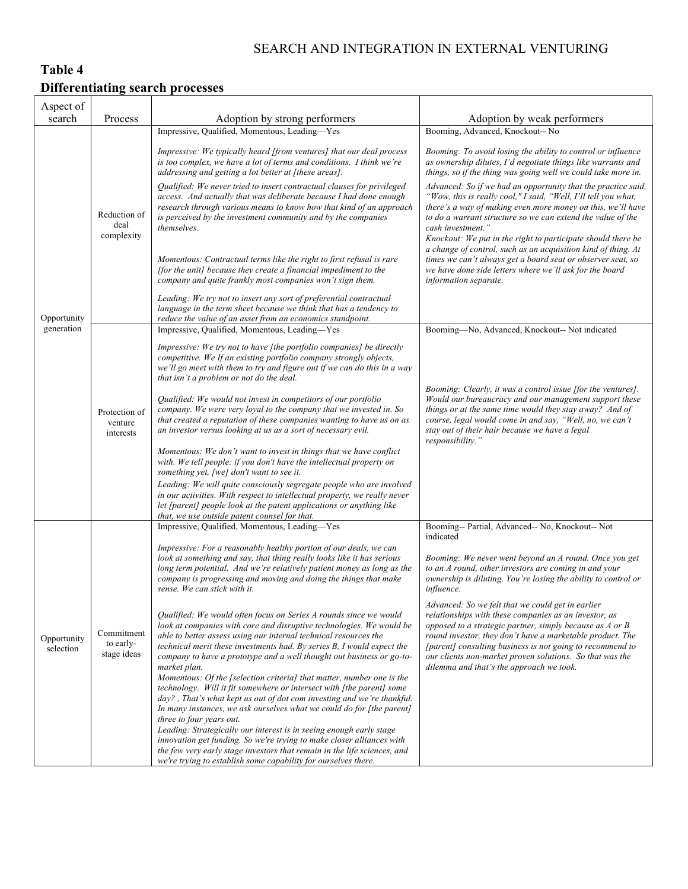## **Table 4 Differentiating search processes**

| Aspect of                 |                                        |                                                                                                                                                                                                                                                                                                                                                                                                                                                                                                                                                                                                                                                                                                                                                                                                                                                                                                                                                                                                                                                                                                                                                                                                                                                                                                                                                                                               |                                                                                                                                                                                                                                                                                                                                                                                                                                                                                                                                                                                                                                                                                                                                                                         |
|---------------------------|----------------------------------------|-----------------------------------------------------------------------------------------------------------------------------------------------------------------------------------------------------------------------------------------------------------------------------------------------------------------------------------------------------------------------------------------------------------------------------------------------------------------------------------------------------------------------------------------------------------------------------------------------------------------------------------------------------------------------------------------------------------------------------------------------------------------------------------------------------------------------------------------------------------------------------------------------------------------------------------------------------------------------------------------------------------------------------------------------------------------------------------------------------------------------------------------------------------------------------------------------------------------------------------------------------------------------------------------------------------------------------------------------------------------------------------------------|-------------------------------------------------------------------------------------------------------------------------------------------------------------------------------------------------------------------------------------------------------------------------------------------------------------------------------------------------------------------------------------------------------------------------------------------------------------------------------------------------------------------------------------------------------------------------------------------------------------------------------------------------------------------------------------------------------------------------------------------------------------------------|
| search                    | Process                                | Adoption by strong performers<br>Impressive, Qualified, Momentous, Leading-Yes                                                                                                                                                                                                                                                                                                                                                                                                                                                                                                                                                                                                                                                                                                                                                                                                                                                                                                                                                                                                                                                                                                                                                                                                                                                                                                                | Adoption by weak performers<br>Booming, Advanced, Knockout-- No                                                                                                                                                                                                                                                                                                                                                                                                                                                                                                                                                                                                                                                                                                         |
|                           | Reduction of<br>deal<br>complexity     | Impressive: We typically heard [from ventures] that our deal process<br>is too complex, we have a lot of terms and conditions. I think we're<br>addressing and getting a lot better at [these areas].<br>Qualified: We never tried to insert contractual clauses for privileged<br>access. And actually that was deliberate because I had done enough<br>research through various means to know how that kind of an approach<br>is perceived by the investment community and by the companies<br>themselves.<br>Momentous: Contractual terms like the right to first refusal is rare<br>[for the unit] because they create a financial impediment to the<br>company and quite frankly most companies won't sign them.<br>Leading: We try not to insert any sort of preferential contractual<br>language in the term sheet because we think that has a tendency to<br>reduce the value of an asset from an economics standpoint.                                                                                                                                                                                                                                                                                                                                                                                                                                                               | Booming: To avoid losing the ability to control or influence<br>as ownership dilutes, I'd negotiate things like warrants and<br>things, so if the thing was going well we could take more in.<br>Advanced: So if we had an opportunity that the practice said,<br>"Wow, this is really cool," I said, "Well, I'll tell you what,<br>there's a way of making even more money on this, we'll have<br>to do a warrant structure so we can extend the value of the<br>cash investment."<br>Knockout: We put in the right to participate should there be<br>a change of control, such as an acquisition kind of thing. At<br>times we can't always get a board seat or observer seat, so<br>we have done side letters where we'll ask for the board<br>information separate. |
| Opportunity<br>generation |                                        | Impressive, Qualified, Momentous, Leading-Yes                                                                                                                                                                                                                                                                                                                                                                                                                                                                                                                                                                                                                                                                                                                                                                                                                                                                                                                                                                                                                                                                                                                                                                                                                                                                                                                                                 | Booming-No, Advanced, Knockout-- Not indicated                                                                                                                                                                                                                                                                                                                                                                                                                                                                                                                                                                                                                                                                                                                          |
|                           | Protection of<br>venture<br>interests  | Impressive: We try not to have [the portfolio companies] be directly<br>competitive. We If an existing portfolio company strongly objects,<br>we'll go meet with them to try and figure out if we can do this in a way<br>that isn't a problem or not do the deal.<br>Qualified: We would not invest in competitors of our portfolio<br>company. We were very loyal to the company that we invested in. So<br>that created a reputation of these companies wanting to have us on as<br>an investor versus looking at us as a sort of necessary evil.<br>Momentous: We don't want to invest in things that we have conflict<br>with. We tell people: if you don't have the intellectual property on<br>something yet, [we] don't want to see it.<br>Leading: We will quite consciously segregate people who are involved<br>in our activities. With respect to intellectual property, we really never<br>let [parent] people look at the patent applications or anything like<br>that, we use outside patent counsel for that.                                                                                                                                                                                                                                                                                                                                                                 | Booming: Clearly, it was a control issue [for the ventures].<br>Would our bureaucracy and our management support these<br>things or at the same time would they stay away? And of<br>course, legal would come in and say, "Well, no, we can't<br>stay out of their hair because we have a legal<br>responsibility."                                                                                                                                                                                                                                                                                                                                                                                                                                                     |
| Opportunity<br>selection  | Commitment<br>to early-<br>stage ideas | Impressive, Qualified, Momentous, Leading-Yes<br>Impressive: For a reasonably healthy portion of our deals, we can<br>look at something and say, that thing really looks like it has serious<br>long term potential. And we're relatively patient money as long as the<br>company is progressing and moving and doing the things that make<br>sense. We can stick with it.<br>Qualified: We would often focus on Series A rounds since we would<br>look at companies with core and disruptive technologies. We would be<br>able to better assess using our internal technical resources the<br>technical merit these investments had. By series B, I would expect the<br>company to have a prototype and a well thought out business or go-to-<br>market plan.<br>Momentous: Of the [selection criteria] that matter, number one is the<br>technology. Will it fit somewhere or intersect with [the parent] some<br>day?, That's what kept us out of dot com investing and we're thankful.<br>In many instances, we ask ourselves what we could do for [the parent]<br>three to four years out.<br>Leading: Strategically our interest is in seeing enough early stage<br>innovation get funding. So we're trying to make closer alliances with<br>the few very early stage investors that remain in the life sciences, and<br>we're trying to establish some capability for ourselves there. | Booming-- Partial, Advanced-- No, Knockout-- Not<br>indicated<br>Booming: We never went beyond an A round. Once you get<br>to an A round, other investors are coming in and your<br>ownership is diluting. You're losing the ability to control or<br><i>influence.</i><br>Advanced: So we felt that we could get in earlier<br>relationships with these companies as an investor, as<br>opposed to a strategic partner, simply because as A or B<br>round investor, they don't have a marketable product. The<br>[parent] consulting business is not going to recommend to<br>our clients non-market proven solutions. So that was the<br>dilemma and that's the approach we took.                                                                                     |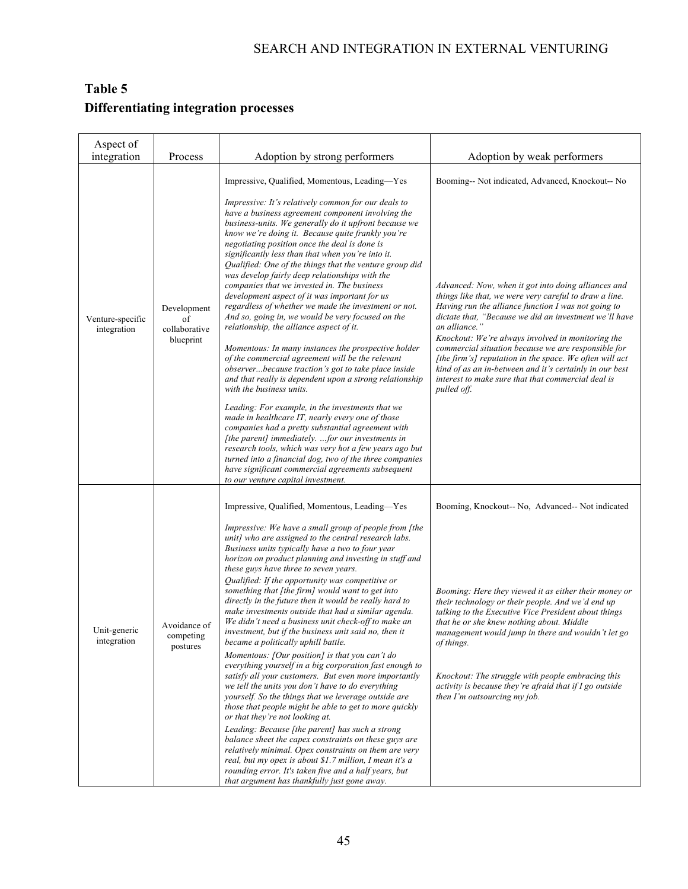# **Table 5 Differentiating integration processes**

| Aspect of<br>integration        | Process                                         | Adoption by strong performers                                                                                                                                                                                                                                                                                                                                                                                                                                                                                                                                                                                                                                                                                                                                                                                                                                                                                                                                                                                                                                                                                                                                                                                                                                                                                                                                                                | Adoption by weak performers                                                                                                                                                                                                                                                                                                                                                                                                                                                                                                                            |
|---------------------------------|-------------------------------------------------|----------------------------------------------------------------------------------------------------------------------------------------------------------------------------------------------------------------------------------------------------------------------------------------------------------------------------------------------------------------------------------------------------------------------------------------------------------------------------------------------------------------------------------------------------------------------------------------------------------------------------------------------------------------------------------------------------------------------------------------------------------------------------------------------------------------------------------------------------------------------------------------------------------------------------------------------------------------------------------------------------------------------------------------------------------------------------------------------------------------------------------------------------------------------------------------------------------------------------------------------------------------------------------------------------------------------------------------------------------------------------------------------|--------------------------------------------------------------------------------------------------------------------------------------------------------------------------------------------------------------------------------------------------------------------------------------------------------------------------------------------------------------------------------------------------------------------------------------------------------------------------------------------------------------------------------------------------------|
|                                 |                                                 | Impressive, Qualified, Momentous, Leading-Yes                                                                                                                                                                                                                                                                                                                                                                                                                                                                                                                                                                                                                                                                                                                                                                                                                                                                                                                                                                                                                                                                                                                                                                                                                                                                                                                                                | Booming-- Not indicated, Advanced, Knockout-- No                                                                                                                                                                                                                                                                                                                                                                                                                                                                                                       |
| Venture-specific<br>integration | Development<br>of<br>collaborative<br>blueprint | Impressive: It's relatively common for our deals to<br>have a business agreement component involving the<br>business-units. We generally do it upfront because we<br>know we're doing it. Because quite frankly you're<br>negotiating position once the deal is done is<br>significantly less than that when you're into it.<br>Qualified: One of the things that the venture group did<br>was develop fairly deep relationships with the<br>companies that we invested in. The business<br>development aspect of it was important for us<br>regardless of whether we made the investment or not.<br>And so, going in, we would be very focused on the<br>relationship, the alliance aspect of it.<br>Momentous: In many instances the prospective holder<br>of the commercial agreement will be the relevant<br>observerbecause traction's got to take place inside<br>and that really is dependent upon a strong relationship<br>with the business units.<br>Leading: For example, in the investments that we<br>made in healthcare IT, nearly every one of those<br>companies had a pretty substantial agreement with<br>[the parent] immediately. for our investments in<br>research tools, which was very hot a few years ago but<br>turned into a financial dog, two of the three companies<br>have significant commercial agreements subsequent<br>to our venture capital investment. | Advanced: Now, when it got into doing alliances and<br>things like that, we were very careful to draw a line.<br>Having run the alliance function I was not going to<br>dictate that, "Because we did an investment we'll have<br>an alliance."<br>Knockout: We're always involved in monitoring the<br>commercial situation because we are responsible for<br>[the firm's] reputation in the space. We often will act<br>kind of as an in-between and it's certainly in our best<br>interest to make sure that that commercial deal is<br>pulled off. |
| Unit-generic<br>integration     | Avoidance of<br>competing<br>postures           | Impressive, Qualified, Momentous, Leading-Yes<br>Impressive: We have a small group of people from [the<br>unit] who are assigned to the central research labs.<br>Business units typically have a two to four year<br>horizon on product planning and investing in stuff and<br>these guys have three to seven years.<br>Qualified: If the opportunity was competitive or<br>something that [the firm] would want to get into<br>directly in the future then it would be really hard to<br>make investments outside that had a similar agenda.<br>We didn't need a business unit check-off to make an<br>investment, but if the business unit said no, then it<br>became a politically uphill battle.<br>Momentous: [Our position] is that you can't do<br>everything yourself in a big corporation fast enough to<br>satisfy all your customers. But even more importantly<br>we tell the units you don't have to do everything<br>yourself. So the things that we leverage outside are<br>those that people might be able to get to more quickly<br>or that they're not looking at.<br>Leading: Because [the parent] has such a strong                                                                                                                                                                                                                                                     | Booming, Knockout-- No, Advanced-- Not indicated<br>Booming: Here they viewed it as either their money or<br>their technology or their people. And we'd end up<br>talking to the Executive Vice President about things<br>that he or she knew nothing about. Middle<br>management would jump in there and wouldn't let go<br>of things.<br>Knockout: The struggle with people embracing this<br>activity is because they're afraid that if $I$ go outside<br>then I'm outsourcing my job.                                                              |
|                                 |                                                 | balance sheet the capex constraints on these guys are<br>relatively minimal. Opex constraints on them are very<br>real, but my opex is about \$1.7 million, I mean it's a<br>rounding error. It's taken five and a half years, but<br>that argument has thankfully just gone away.                                                                                                                                                                                                                                                                                                                                                                                                                                                                                                                                                                                                                                                                                                                                                                                                                                                                                                                                                                                                                                                                                                           |                                                                                                                                                                                                                                                                                                                                                                                                                                                                                                                                                        |